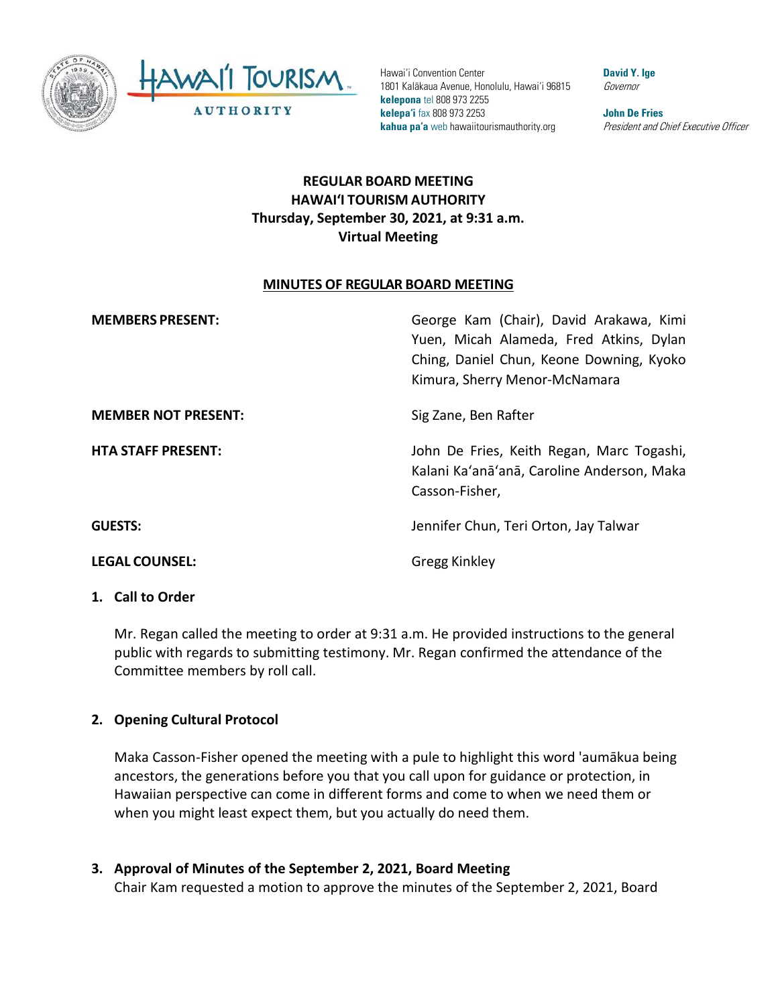

Hawai'i Convention Center 1801 Kalākaua Avenue, Honolulu, Hawai'i 96815 **kelepona** tel 808 973 2255 **kelepa'i** fax 808 973 2253 **kahua pa'a** web hawaiitourismauthority.org

**David Y. Ige** Governor

**John De Fries** President and Chief Executive Officer

# **REGULAR BOARD MEETING HAWAI'I TOURISM AUTHORITY Thursday, September 30, 2021, at 9:31 a.m. Virtual Meeting**

#### **MINUTES OF REGULAR BOARD MEETING**

| <b>MEMBERS PRESENT:</b>    | George Kam (Chair), David Arakawa, Kimi<br>Yuen, Micah Alameda, Fred Atkins, Dylan<br>Ching, Daniel Chun, Keone Downing, Kyoko<br>Kimura, Sherry Menor-McNamara |
|----------------------------|-----------------------------------------------------------------------------------------------------------------------------------------------------------------|
| <b>MEMBER NOT PRESENT:</b> | Sig Zane, Ben Rafter                                                                                                                                            |
| <b>HTA STAFF PRESENT:</b>  | John De Fries, Keith Regan, Marc Togashi,<br>Kalani Ka'anā'anā, Caroline Anderson, Maka<br>Casson-Fisher,                                                       |
| <b>GUESTS:</b>             | Jennifer Chun, Teri Orton, Jay Talwar                                                                                                                           |
| <b>LEGAL COUNSEL:</b>      | Gregg Kinkley                                                                                                                                                   |

#### **1. Call to Order**

Mr. Regan called the meeting to order at 9:31 a.m. He provided instructions to the general public with regards to submitting testimony. Mr. Regan confirmed the attendance of the Committee members by roll call.

#### **2. Opening Cultural Protocol**

Maka Casson-Fisher opened the meeting with a pule to highlight this word 'aumākua being ancestors, the generations before you that you call upon for guidance or protection, in Hawaiian perspective can come in different forms and come to when we need them or when you might least expect them, but you actually do need them.

**3. Approval of Minutes of the September 2, 2021, Board Meeting** Chair Kam requested a motion to approve the minutes of the September 2, 2021, Board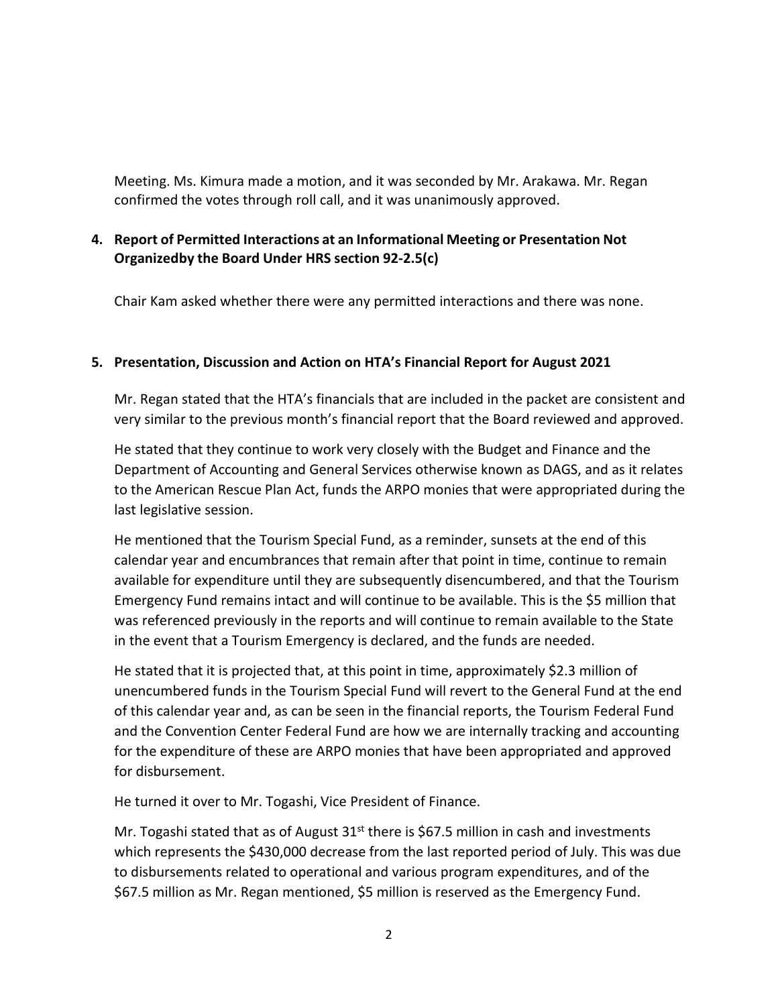Meeting. Ms. Kimura made a motion, and it was seconded by Mr. Arakawa. Mr. Regan confirmed the votes through roll call, and it was unanimously approved.

## **4. Report of Permitted Interactions at an Informational Meeting or Presentation Not Organizedby the Board Under HRS section 92-2.5(c)**

Chair Kam asked whether there were any permitted interactions and there was none.

### **5. Presentation, Discussion and Action on HTA's Financial Report for August 2021**

Mr. Regan stated that the HTA's financials that are included in the packet are consistent and very similar to the previous month's financial report that the Board reviewed and approved.

He stated that they continue to work very closely with the Budget and Finance and the Department of Accounting and General Services otherwise known as DAGS, and as it relates to the American Rescue Plan Act, funds the ARPO monies that were appropriated during the last legislative session.

He mentioned that the Tourism Special Fund, as a reminder, sunsets at the end of this calendar year and encumbrances that remain after that point in time, continue to remain available for expenditure until they are subsequently disencumbered, and that the Tourism Emergency Fund remains intact and will continue to be available. This is the \$5 million that was referenced previously in the reports and will continue to remain available to the State in the event that a Tourism Emergency is declared, and the funds are needed.

He stated that it is projected that, at this point in time, approximately \$2.3 million of unencumbered funds in the Tourism Special Fund will revert to the General Fund at the end of this calendar year and, as can be seen in the financial reports, the Tourism Federal Fund and the Convention Center Federal Fund are how we are internally tracking and accounting for the expenditure of these are ARPO monies that have been appropriated and approved for disbursement.

He turned it over to Mr. Togashi, Vice President of Finance.

Mr. Togashi stated that as of August  $31<sup>st</sup>$  there is \$67.5 million in cash and investments which represents the \$430,000 decrease from the last reported period of July. This was due to disbursements related to operational and various program expenditures, and of the \$67.5 million as Mr. Regan mentioned, \$5 million is reserved as the Emergency Fund.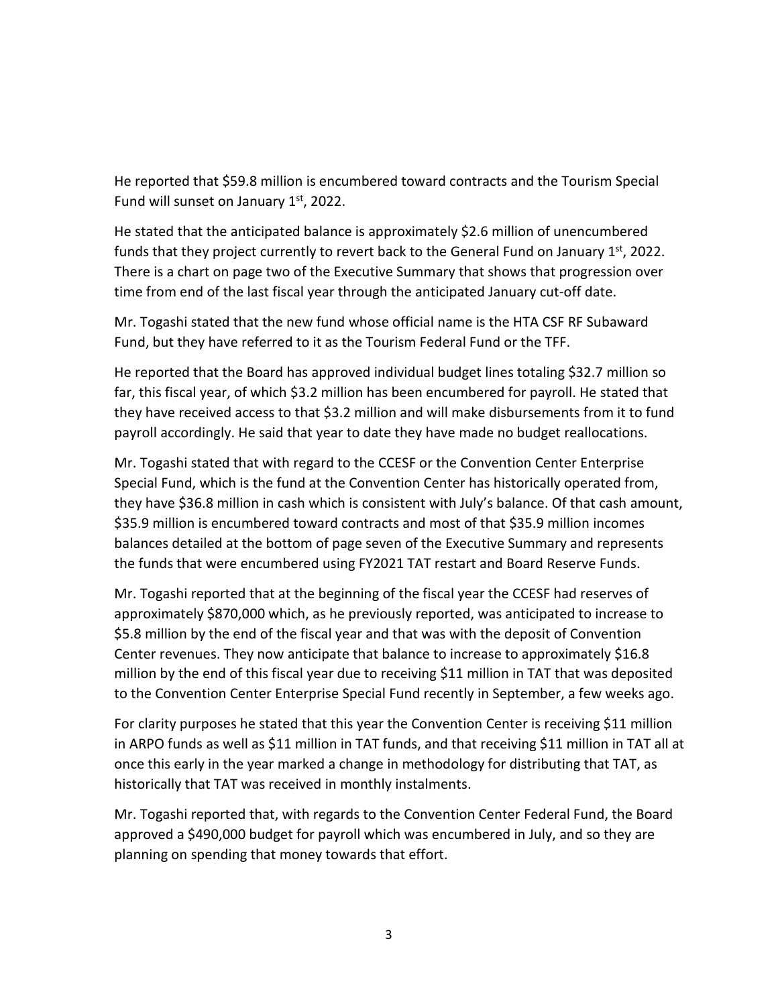He reported that \$59.8 million is encumbered toward contracts and the Tourism Special Fund will sunset on January  $1<sup>st</sup>$ , 2022.

He stated that the anticipated balance is approximately \$2.6 million of unencumbered funds that they project currently to revert back to the General Fund on January  $1<sup>st</sup>$ , 2022. There is a chart on page two of the Executive Summary that shows that progression over time from end of the last fiscal year through the anticipated January cut-off date.

Mr. Togashi stated that the new fund whose official name is the HTA CSF RF Subaward Fund, but they have referred to it as the Tourism Federal Fund or the TFF.

He reported that the Board has approved individual budget lines totaling \$32.7 million so far, this fiscal year, of which \$3.2 million has been encumbered for payroll. He stated that they have received access to that \$3.2 million and will make disbursements from it to fund payroll accordingly. He said that year to date they have made no budget reallocations.

Mr. Togashi stated that with regard to the CCESF or the Convention Center Enterprise Special Fund, which is the fund at the Convention Center has historically operated from, they have \$36.8 million in cash which is consistent with July's balance. Of that cash amount, \$35.9 million is encumbered toward contracts and most of that \$35.9 million incomes balances detailed at the bottom of page seven of the Executive Summary and represents the funds that were encumbered using FY2021 TAT restart and Board Reserve Funds.

Mr. Togashi reported that at the beginning of the fiscal year the CCESF had reserves of approximately \$870,000 which, as he previously reported, was anticipated to increase to \$5.8 million by the end of the fiscal year and that was with the deposit of Convention Center revenues. They now anticipate that balance to increase to approximately \$16.8 million by the end of this fiscal year due to receiving \$11 million in TAT that was deposited to the Convention Center Enterprise Special Fund recently in September, a few weeks ago.

For clarity purposes he stated that this year the Convention Center is receiving \$11 million in ARPO funds as well as \$11 million in TAT funds, and that receiving \$11 million in TAT all at once this early in the year marked a change in methodology for distributing that TAT, as historically that TAT was received in monthly instalments.

Mr. Togashi reported that, with regards to the Convention Center Federal Fund, the Board approved a \$490,000 budget for payroll which was encumbered in July, and so they are planning on spending that money towards that effort.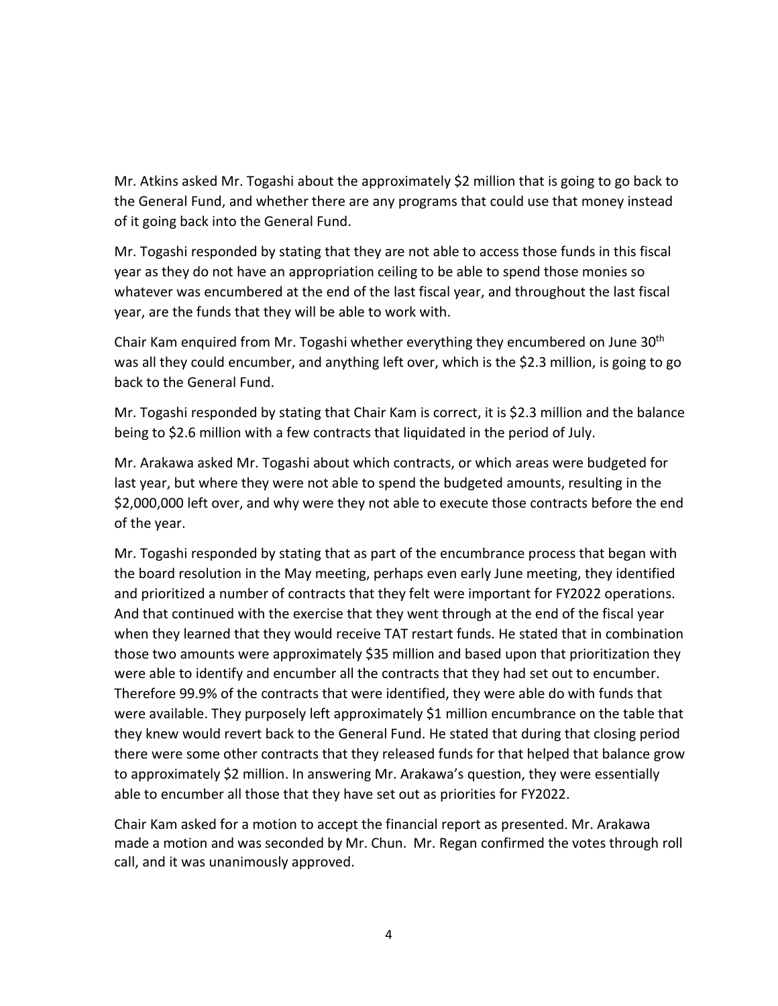Mr. Atkins asked Mr. Togashi about the approximately \$2 million that is going to go back to the General Fund, and whether there are any programs that could use that money instead of it going back into the General Fund.

Mr. Togashi responded by stating that they are not able to access those funds in this fiscal year as they do not have an appropriation ceiling to be able to spend those monies so whatever was encumbered at the end of the last fiscal year, and throughout the last fiscal year, are the funds that they will be able to work with.

Chair Kam enquired from Mr. Togashi whether everything they encumbered on June 30<sup>th</sup> was all they could encumber, and anything left over, which is the \$2.3 million, is going to go back to the General Fund.

Mr. Togashi responded by stating that Chair Kam is correct, it is \$2.3 million and the balance being to \$2.6 million with a few contracts that liquidated in the period of July.

Mr. Arakawa asked Mr. Togashi about which contracts, or which areas were budgeted for last year, but where they were not able to spend the budgeted amounts, resulting in the \$2,000,000 left over, and why were they not able to execute those contracts before the end of the year.

Mr. Togashi responded by stating that as part of the encumbrance process that began with the board resolution in the May meeting, perhaps even early June meeting, they identified and prioritized a number of contracts that they felt were important for FY2022 operations. And that continued with the exercise that they went through at the end of the fiscal year when they learned that they would receive TAT restart funds. He stated that in combination those two amounts were approximately \$35 million and based upon that prioritization they were able to identify and encumber all the contracts that they had set out to encumber. Therefore 99.9% of the contracts that were identified, they were able do with funds that were available. They purposely left approximately \$1 million encumbrance on the table that they knew would revert back to the General Fund. He stated that during that closing period there were some other contracts that they released funds for that helped that balance grow to approximately \$2 million. In answering Mr. Arakawa's question, they were essentially able to encumber all those that they have set out as priorities for FY2022.

Chair Kam asked for a motion to accept the financial report as presented. Mr. Arakawa made a motion and was seconded by Mr. Chun. Mr. Regan confirmed the votes through roll call, and it was unanimously approved.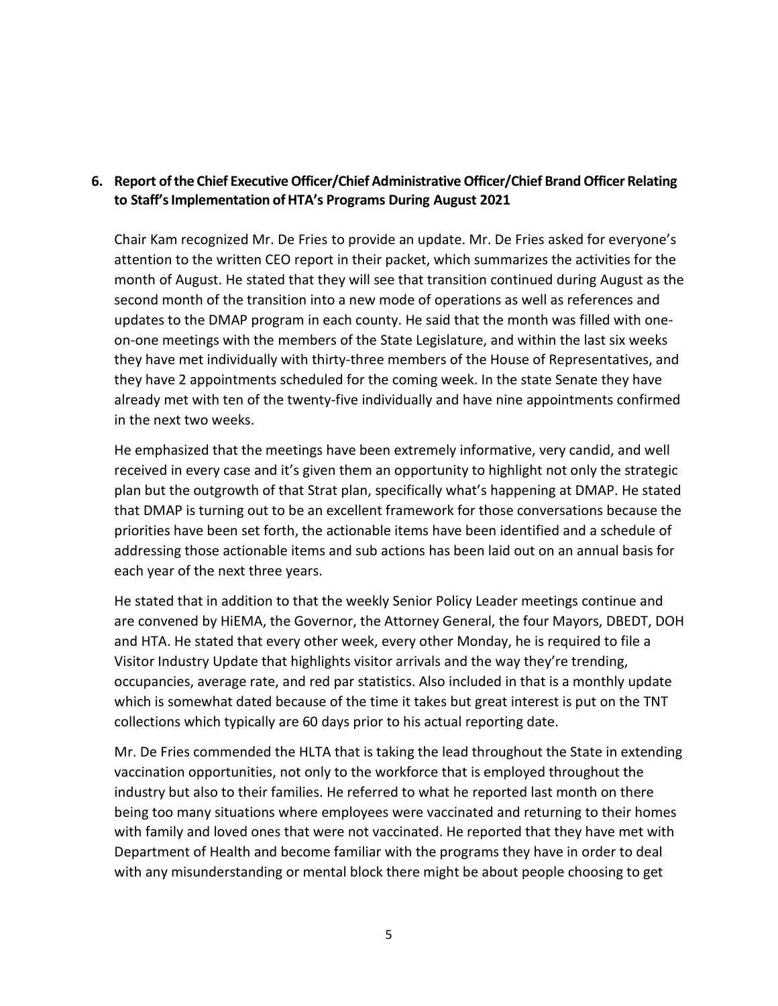## **6. Report ofthe Chief ExecutiveOfficer/Chief AdministrativeOfficer/Chief Brand Officer Relating to Staff'sImplementation ofHTA's Programs During August 2021**

Chair Kam recognized Mr. De Fries to provide an update. Mr. De Fries asked for everyone's attention to the written CEO report in their packet, which summarizes the activities for the month of August. He stated that they will see that transition continued during August as the second month of the transition into a new mode of operations as well as references and updates to the DMAP program in each county. He said that the month was filled with oneon-one meetings with the members of the State Legislature, and within the last six weeks they have met individually with thirty-three members of the House of Representatives, and they have 2 appointments scheduled for the coming week. In the state Senate they have already met with ten of the twenty-five individually and have nine appointments confirmed in the next two weeks.

He emphasized that the meetings have been extremely informative, very candid, and well received in every case and it's given them an opportunity to highlight not only the strategic plan but the outgrowth of that Strat plan, specifically what's happening at DMAP. He stated that DMAP is turning out to be an excellent framework for those conversations because the priorities have been set forth, the actionable items have been identified and a schedule of addressing those actionable items and sub actions has been laid out on an annual basis for each year of the next three years.

He stated that in addition to that the weekly Senior Policy Leader meetings continue and are convened by HiEMA, the Governor, the Attorney General, the four Mayors, DBEDT, DOH and HTA. He stated that every other week, every other Monday, he is required to file a Visitor Industry Update that highlights visitor arrivals and the way they're trending, occupancies, average rate, and red par statistics. Also included in that is a monthly update which is somewhat dated because of the time it takes but great interest is put on the TNT collections which typically are 60 days prior to his actual reporting date.

Mr. De Fries commended the HLTA that is taking the lead throughout the State in extending vaccination opportunities, not only to the workforce that is employed throughout the industry but also to their families. He referred to what he reported last month on there being too many situations where employees were vaccinated and returning to their homes with family and loved ones that were not vaccinated. He reported that they have met with Department of Health and become familiar with the programs they have in order to deal with any misunderstanding or mental block there might be about people choosing to get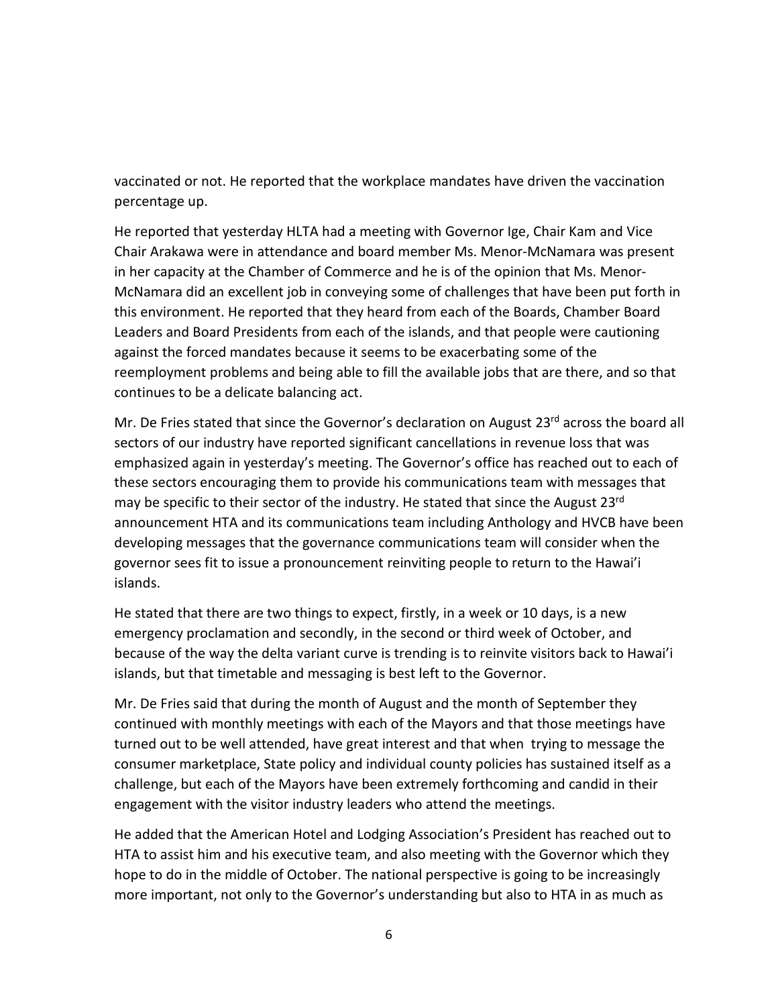vaccinated or not. He reported that the workplace mandates have driven the vaccination percentage up.

He reported that yesterday HLTA had a meeting with Governor Ige, Chair Kam and Vice Chair Arakawa were in attendance and board member Ms. Menor-McNamara was present in her capacity at the Chamber of Commerce and he is of the opinion that Ms. Menor-McNamara did an excellent job in conveying some of challenges that have been put forth in this environment. He reported that they heard from each of the Boards, Chamber Board Leaders and Board Presidents from each of the islands, and that people were cautioning against the forced mandates because it seems to be exacerbating some of the reemployment problems and being able to fill the available jobs that are there, and so that continues to be a delicate balancing act.

Mr. De Fries stated that since the Governor's declaration on August 23<sup>rd</sup> across the board all sectors of our industry have reported significant cancellations in revenue loss that was emphasized again in yesterday's meeting. The Governor's office has reached out to each of these sectors encouraging them to provide his communications team with messages that may be specific to their sector of the industry. He stated that since the August 23<sup>rd</sup> announcement HTA and its communications team including Anthology and HVCB have been developing messages that the governance communications team will consider when the governor sees fit to issue a pronouncement reinviting people to return to the Hawai'i islands.

He stated that there are two things to expect, firstly, in a week or 10 days, is a new emergency proclamation and secondly, in the second or third week of October, and because of the way the delta variant curve is trending is to reinvite visitors back to Hawai'i islands, but that timetable and messaging is best left to the Governor.

Mr. De Fries said that during the month of August and the month of September they continued with monthly meetings with each of the Mayors and that those meetings have turned out to be well attended, have great interest and that when trying to message the consumer marketplace, State policy and individual county policies has sustained itself as a challenge, but each of the Mayors have been extremely forthcoming and candid in their engagement with the visitor industry leaders who attend the meetings.

He added that the American Hotel and Lodging Association's President has reached out to HTA to assist him and his executive team, and also meeting with the Governor which they hope to do in the middle of October. The national perspective is going to be increasingly more important, not only to the Governor's understanding but also to HTA in as much as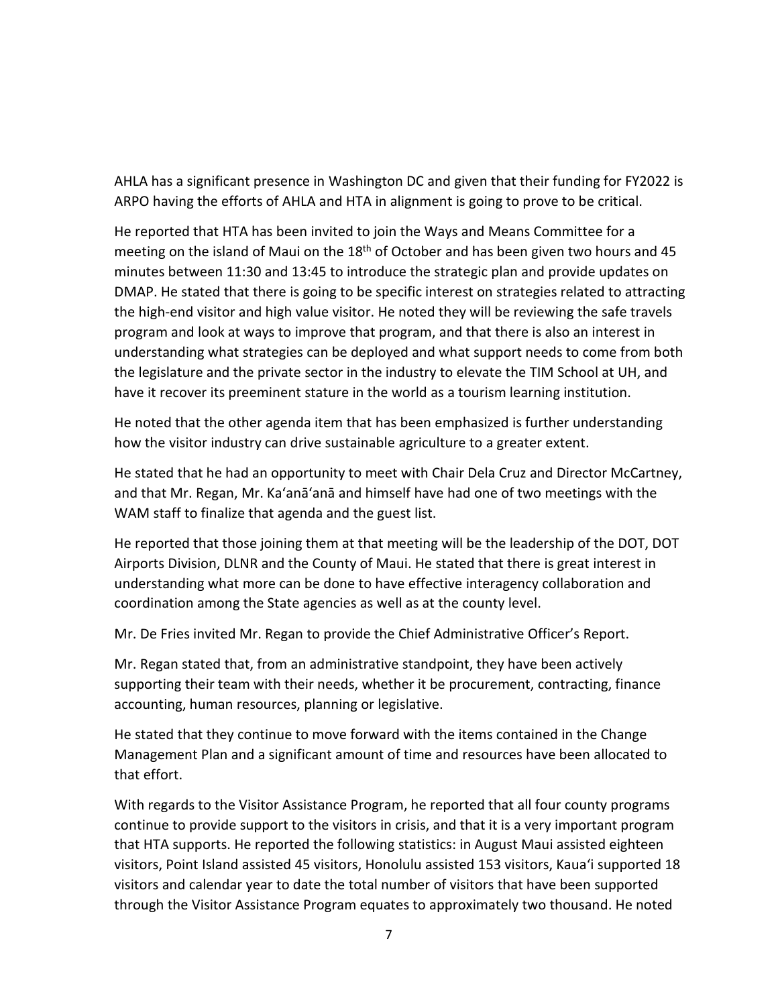AHLA has a significant presence in Washington DC and given that their funding for FY2022 is ARPO having the efforts of AHLA and HTA in alignment is going to prove to be critical.

He reported that HTA has been invited to join the Ways and Means Committee for a meeting on the island of Maui on the 18<sup>th</sup> of October and has been given two hours and 45 minutes between 11:30 and 13:45 to introduce the strategic plan and provide updates on DMAP. He stated that there is going to be specific interest on strategies related to attracting the high-end visitor and high value visitor. He noted they will be reviewing the safe travels program and look at ways to improve that program, and that there is also an interest in understanding what strategies can be deployed and what support needs to come from both the legislature and the private sector in the industry to elevate the TIM School at UH, and have it recover its preeminent stature in the world as a tourism learning institution.

He noted that the other agenda item that has been emphasized is further understanding how the visitor industry can drive sustainable agriculture to a greater extent.

He stated that he had an opportunity to meet with Chair Dela Cruz and Director McCartney, and that Mr. Regan, Mr. Ka'anā'anā and himself have had one of two meetings with the WAM staff to finalize that agenda and the guest list.

He reported that those joining them at that meeting will be the leadership of the DOT, DOT Airports Division, DLNR and the County of Maui. He stated that there is great interest in understanding what more can be done to have effective interagency collaboration and coordination among the State agencies as well as at the county level.

Mr. De Fries invited Mr. Regan to provide the Chief Administrative Officer's Report.

Mr. Regan stated that, from an administrative standpoint, they have been actively supporting their team with their needs, whether it be procurement, contracting, finance accounting, human resources, planning or legislative.

He stated that they continue to move forward with the items contained in the Change Management Plan and a significant amount of time and resources have been allocated to that effort.

With regards to the Visitor Assistance Program, he reported that all four county programs continue to provide support to the visitors in crisis, and that it is a very important program that HTA supports. He reported the following statistics: in August Maui assisted eighteen visitors, Point Island assisted 45 visitors, Honolulu assisted 153 visitors, Kaua'i supported 18 visitors and calendar year to date the total number of visitors that have been supported through the Visitor Assistance Program equates to approximately two thousand. He noted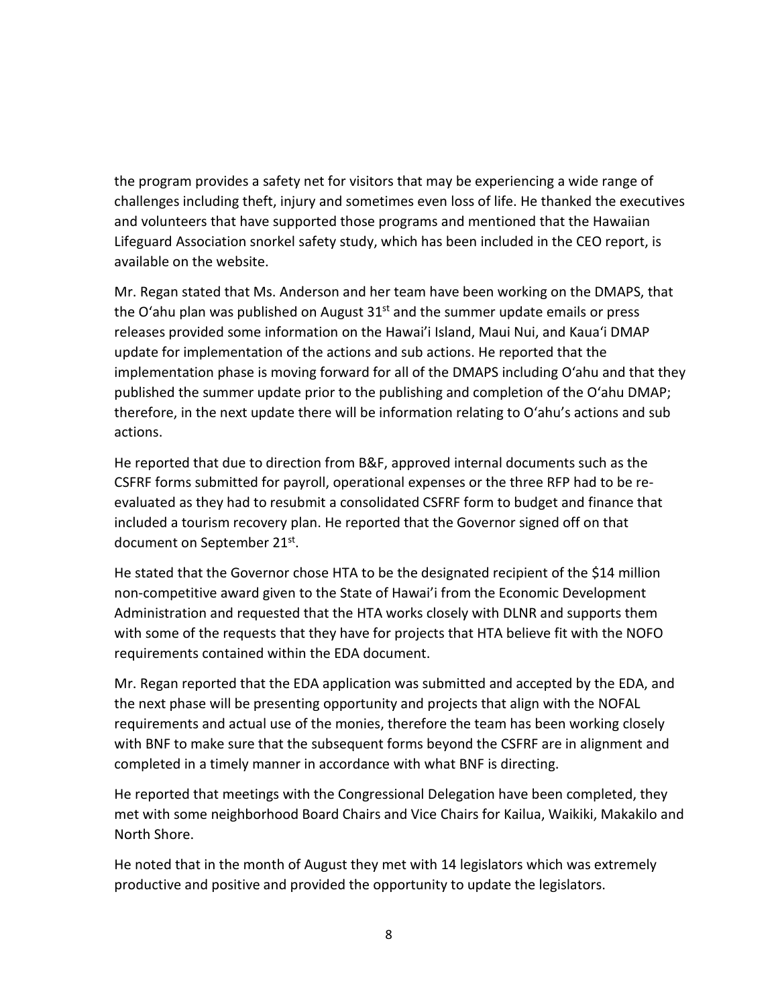the program provides a safety net for visitors that may be experiencing a wide range of challenges including theft, injury and sometimes even loss of life. He thanked the executives and volunteers that have supported those programs and mentioned that the Hawaiian Lifeguard Association snorkel safety study, which has been included in the CEO report, is available on the website.

Mr. Regan stated that Ms. Anderson and her team have been working on the DMAPS, that the O'ahu plan was published on August  $31<sup>st</sup>$  and the summer update emails or press releases provided some information on the Hawai'i Island, Maui Nui, and Kaua'i DMAP update for implementation of the actions and sub actions. He reported that the implementation phase is moving forward for all of the DMAPS including O'ahu and that they published the summer update prior to the publishing and completion of the O'ahu DMAP; therefore, in the next update there will be information relating to O'ahu's actions and sub actions.

He reported that due to direction from B&F, approved internal documents such as the CSFRF forms submitted for payroll, operational expenses or the three RFP had to be reevaluated as they had to resubmit a consolidated CSFRF form to budget and finance that included a tourism recovery plan. He reported that the Governor signed off on that document on September 21st.

He stated that the Governor chose HTA to be the designated recipient of the \$14 million non-competitive award given to the State of Hawai'i from the Economic Development Administration and requested that the HTA works closely with DLNR and supports them with some of the requests that they have for projects that HTA believe fit with the NOFO requirements contained within the EDA document.

Mr. Regan reported that the EDA application was submitted and accepted by the EDA, and the next phase will be presenting opportunity and projects that align with the NOFAL requirements and actual use of the monies, therefore the team has been working closely with BNF to make sure that the subsequent forms beyond the CSFRF are in alignment and completed in a timely manner in accordance with what BNF is directing.

He reported that meetings with the Congressional Delegation have been completed, they met with some neighborhood Board Chairs and Vice Chairs for Kailua, Waikiki, Makakilo and North Shore.

He noted that in the month of August they met with 14 legislators which was extremely productive and positive and provided the opportunity to update the legislators.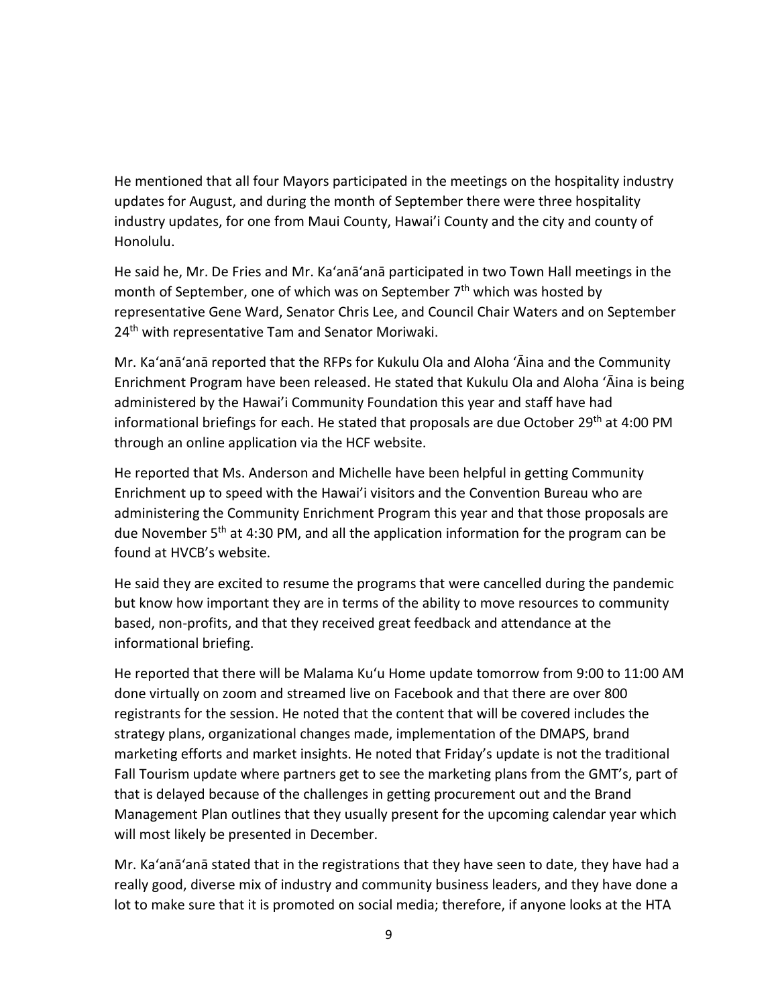He mentioned that all four Mayors participated in the meetings on the hospitality industry updates for August, and during the month of September there were three hospitality industry updates, for one from Maui County, Hawai'i County and the city and county of Honolulu.

He said he, Mr. De Fries and Mr. Ka'anā'anā participated in two Town Hall meetings in the month of September, one of which was on September 7<sup>th</sup> which was hosted by representative Gene Ward, Senator Chris Lee, and Council Chair Waters and on September 24<sup>th</sup> with representative Tam and Senator Moriwaki.

Mr. Ka'anā'anā reported that the RFPs for Kukulu Ola and Aloha ʻĀina and the Community Enrichment Program have been released. He stated that Kukulu Ola and Aloha ʻĀina is being administered by the Hawai'i Community Foundation this year and staff have had informational briefings for each. He stated that proposals are due October 29<sup>th</sup> at 4:00 PM through an online application via the HCF website.

He reported that Ms. Anderson and Michelle have been helpful in getting Community Enrichment up to speed with the Hawai'i visitors and the Convention Bureau who are administering the Community Enrichment Program this year and that those proposals are due November 5<sup>th</sup> at 4:30 PM, and all the application information for the program can be found at HVCB's website.

He said they are excited to resume the programs that were cancelled during the pandemic but know how important they are in terms of the ability to move resources to community based, non-profits, and that they received great feedback and attendance at the informational briefing.

He reported that there will be Malama Ku'u Home update tomorrow from 9:00 to 11:00 AM done virtually on zoom and streamed live on Facebook and that there are over 800 registrants for the session. He noted that the content that will be covered includes the strategy plans, organizational changes made, implementation of the DMAPS, brand marketing efforts and market insights. He noted that Friday's update is not the traditional Fall Tourism update where partners get to see the marketing plans from the GMT's, part of that is delayed because of the challenges in getting procurement out and the Brand Management Plan outlines that they usually present for the upcoming calendar year which will most likely be presented in December.

Mr. Ka'anā'anā stated that in the registrations that they have seen to date, they have had a really good, diverse mix of industry and community business leaders, and they have done a lot to make sure that it is promoted on social media; therefore, if anyone looks at the HTA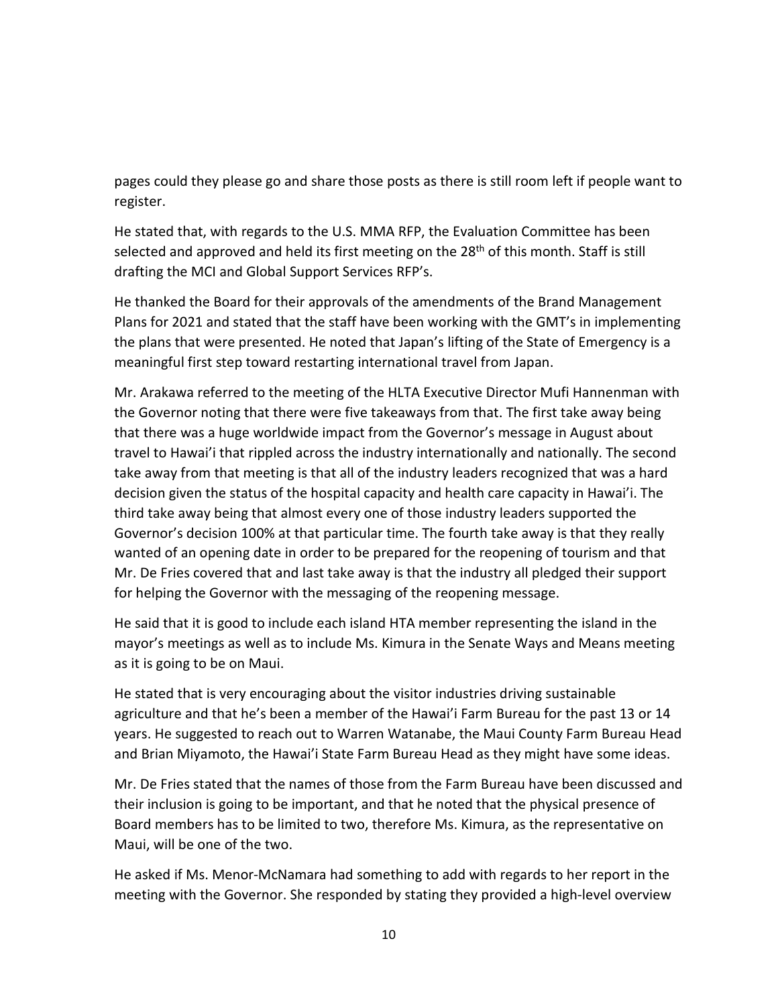pages could they please go and share those posts as there is still room left if people want to register.

He stated that, with regards to the U.S. MMA RFP, the Evaluation Committee has been selected and approved and held its first meeting on the 28<sup>th</sup> of this month. Staff is still drafting the MCI and Global Support Services RFP's.

He thanked the Board for their approvals of the amendments of the Brand Management Plans for 2021 and stated that the staff have been working with the GMT's in implementing the plans that were presented. He noted that Japan's lifting of the State of Emergency is a meaningful first step toward restarting international travel from Japan.

Mr. Arakawa referred to the meeting of the HLTA Executive Director Mufi Hannenman with the Governor noting that there were five takeaways from that. The first take away being that there was a huge worldwide impact from the Governor's message in August about travel to Hawai'i that rippled across the industry internationally and nationally. The second take away from that meeting is that all of the industry leaders recognized that was a hard decision given the status of the hospital capacity and health care capacity in Hawai'i. The third take away being that almost every one of those industry leaders supported the Governor's decision 100% at that particular time. The fourth take away is that they really wanted of an opening date in order to be prepared for the reopening of tourism and that Mr. De Fries covered that and last take away is that the industry all pledged their support for helping the Governor with the messaging of the reopening message.

He said that it is good to include each island HTA member representing the island in the mayor's meetings as well as to include Ms. Kimura in the Senate Ways and Means meeting as it is going to be on Maui.

He stated that is very encouraging about the visitor industries driving sustainable agriculture and that he's been a member of the Hawai'i Farm Bureau for the past 13 or 14 years. He suggested to reach out to Warren Watanabe, the Maui County Farm Bureau Head and Brian Miyamoto, the Hawai'i State Farm Bureau Head as they might have some ideas.

Mr. De Fries stated that the names of those from the Farm Bureau have been discussed and their inclusion is going to be important, and that he noted that the physical presence of Board members has to be limited to two, therefore Ms. Kimura, as the representative on Maui, will be one of the two.

He asked if Ms. Menor-McNamara had something to add with regards to her report in the meeting with the Governor. She responded by stating they provided a high-level overview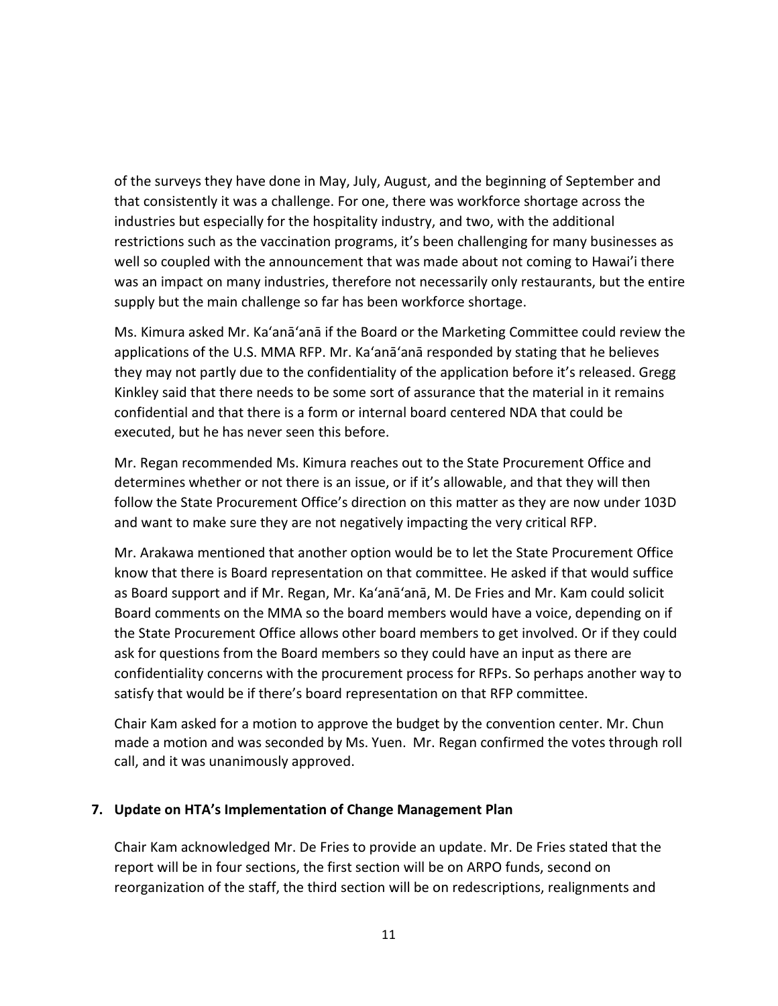of the surveys they have done in May, July, August, and the beginning of September and that consistently it was a challenge. For one, there was workforce shortage across the industries but especially for the hospitality industry, and two, with the additional restrictions such as the vaccination programs, it's been challenging for many businesses as well so coupled with the announcement that was made about not coming to Hawai'i there was an impact on many industries, therefore not necessarily only restaurants, but the entire supply but the main challenge so far has been workforce shortage.

Ms. Kimura asked Mr. Ka'anā'anā if the Board or the Marketing Committee could review the applications of the U.S. MMA RFP. Mr. Ka'anā'anā responded by stating that he believes they may not partly due to the confidentiality of the application before it's released. Gregg Kinkley said that there needs to be some sort of assurance that the material in it remains confidential and that there is a form or internal board centered NDA that could be executed, but he has never seen this before.

Mr. Regan recommended Ms. Kimura reaches out to the State Procurement Office and determines whether or not there is an issue, or if it's allowable, and that they will then follow the State Procurement Office's direction on this matter as they are now under 103D and want to make sure they are not negatively impacting the very critical RFP.

Mr. Arakawa mentioned that another option would be to let the State Procurement Office know that there is Board representation on that committee. He asked if that would suffice as Board support and if Mr. Regan, Mr. Ka'anā'anā, M. De Fries and Mr. Kam could solicit Board comments on the MMA so the board members would have a voice, depending on if the State Procurement Office allows other board members to get involved. Or if they could ask for questions from the Board members so they could have an input as there are confidentiality concerns with the procurement process for RFPs. So perhaps another way to satisfy that would be if there's board representation on that RFP committee.

Chair Kam asked for a motion to approve the budget by the convention center. Mr. Chun made a motion and was seconded by Ms. Yuen. Mr. Regan confirmed the votes through roll call, and it was unanimously approved.

#### **7. Update on HTA's Implementation of Change Management Plan**

Chair Kam acknowledged Mr. De Fries to provide an update. Mr. De Fries stated that the report will be in four sections, the first section will be on ARPO funds, second on reorganization of the staff, the third section will be on redescriptions, realignments and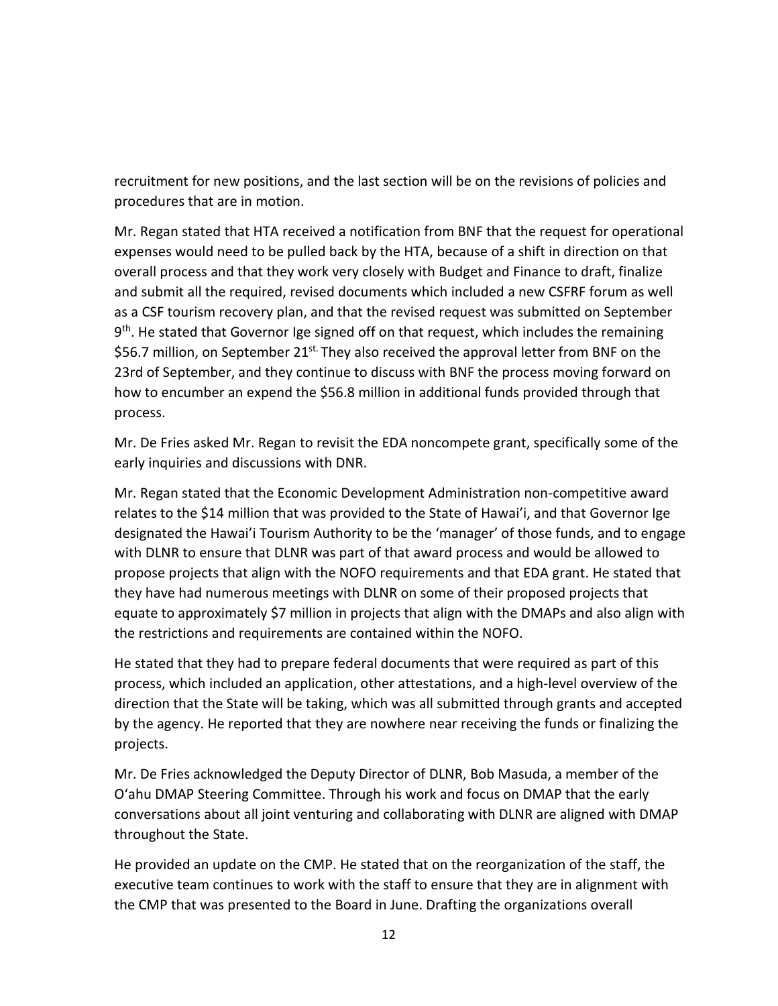recruitment for new positions, and the last section will be on the revisions of policies and procedures that are in motion.

Mr. Regan stated that HTA received a notification from BNF that the request for operational expenses would need to be pulled back by the HTA, because of a shift in direction on that overall process and that they work very closely with Budget and Finance to draft, finalize and submit all the required, revised documents which included a new CSFRF forum as well as a CSF tourism recovery plan, and that the revised request was submitted on September  $9<sup>th</sup>$ . He stated that Governor Ige signed off on that request, which includes the remaining \$56.7 million, on September 21<sup>st.</sup> They also received the approval letter from BNF on the 23rd of September, and they continue to discuss with BNF the process moving forward on how to encumber an expend the \$56.8 million in additional funds provided through that process.

Mr. De Fries asked Mr. Regan to revisit the EDA noncompete grant, specifically some of the early inquiries and discussions with DNR.

Mr. Regan stated that the Economic Development Administration non-competitive award relates to the \$14 million that was provided to the State of Hawai'i, and that Governor Ige designated the Hawai'i Tourism Authority to be the 'manager' of those funds, and to engage with DLNR to ensure that DLNR was part of that award process and would be allowed to propose projects that align with the NOFO requirements and that EDA grant. He stated that they have had numerous meetings with DLNR on some of their proposed projects that equate to approximately \$7 million in projects that align with the DMAPs and also align with the restrictions and requirements are contained within the NOFO.

He stated that they had to prepare federal documents that were required as part of this process, which included an application, other attestations, and a high-level overview of the direction that the State will be taking, which was all submitted through grants and accepted by the agency. He reported that they are nowhere near receiving the funds or finalizing the projects.

Mr. De Fries acknowledged the Deputy Director of DLNR, Bob Masuda, a member of the O'ahu DMAP Steering Committee. Through his work and focus on DMAP that the early conversations about all joint venturing and collaborating with DLNR are aligned with DMAP throughout the State.

He provided an update on the CMP. He stated that on the reorganization of the staff, the executive team continues to work with the staff to ensure that they are in alignment with the CMP that was presented to the Board in June. Drafting the organizations overall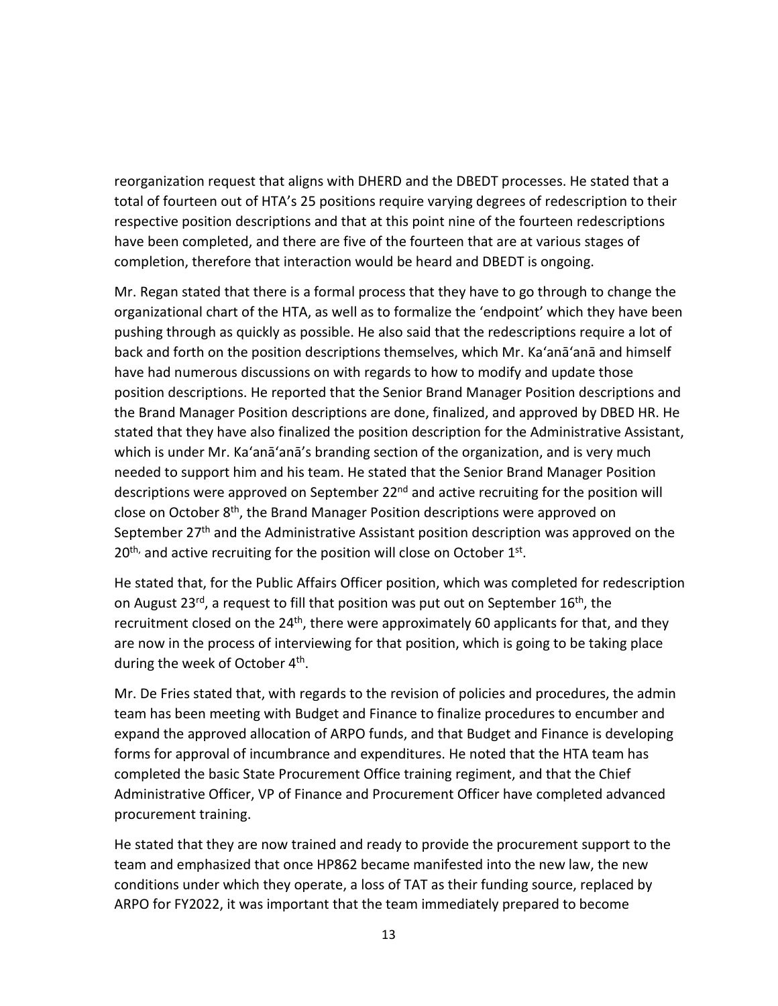reorganization request that aligns with DHERD and the DBEDT processes. He stated that a total of fourteen out of HTA's 25 positions require varying degrees of redescription to their respective position descriptions and that at this point nine of the fourteen redescriptions have been completed, and there are five of the fourteen that are at various stages of completion, therefore that interaction would be heard and DBEDT is ongoing.

Mr. Regan stated that there is a formal process that they have to go through to change the organizational chart of the HTA, as well as to formalize the 'endpoint' which they have been pushing through as quickly as possible. He also said that the redescriptions require a lot of back and forth on the position descriptions themselves, which Mr. Ka'anā'anā and himself have had numerous discussions on with regards to how to modify and update those position descriptions. He reported that the Senior Brand Manager Position descriptions and the Brand Manager Position descriptions are done, finalized, and approved by DBED HR. He stated that they have also finalized the position description for the Administrative Assistant, which is under Mr. Ka'anā'anā's branding section of the organization, and is very much needed to support him and his team. He stated that the Senior Brand Manager Position descriptions were approved on September 22<sup>nd</sup> and active recruiting for the position will close on October 8th, the Brand Manager Position descriptions were approved on September 27<sup>th</sup> and the Administrative Assistant position description was approved on the  $20<sup>th</sup>$ , and active recruiting for the position will close on October  $1<sup>st</sup>$ .

He stated that, for the Public Affairs Officer position, which was completed for redescription on August 23<sup>rd</sup>, a request to fill that position was put out on September 16<sup>th</sup>, the recruitment closed on the  $24<sup>th</sup>$ , there were approximately 60 applicants for that, and they are now in the process of interviewing for that position, which is going to be taking place during the week of October 4<sup>th</sup>.

Mr. De Fries stated that, with regards to the revision of policies and procedures, the admin team has been meeting with Budget and Finance to finalize procedures to encumber and expand the approved allocation of ARPO funds, and that Budget and Finance is developing forms for approval of incumbrance and expenditures. He noted that the HTA team has completed the basic State Procurement Office training regiment, and that the Chief Administrative Officer, VP of Finance and Procurement Officer have completed advanced procurement training.

He stated that they are now trained and ready to provide the procurement support to the team and emphasized that once HP862 became manifested into the new law, the new conditions under which they operate, a loss of TAT as their funding source, replaced by ARPO for FY2022, it was important that the team immediately prepared to become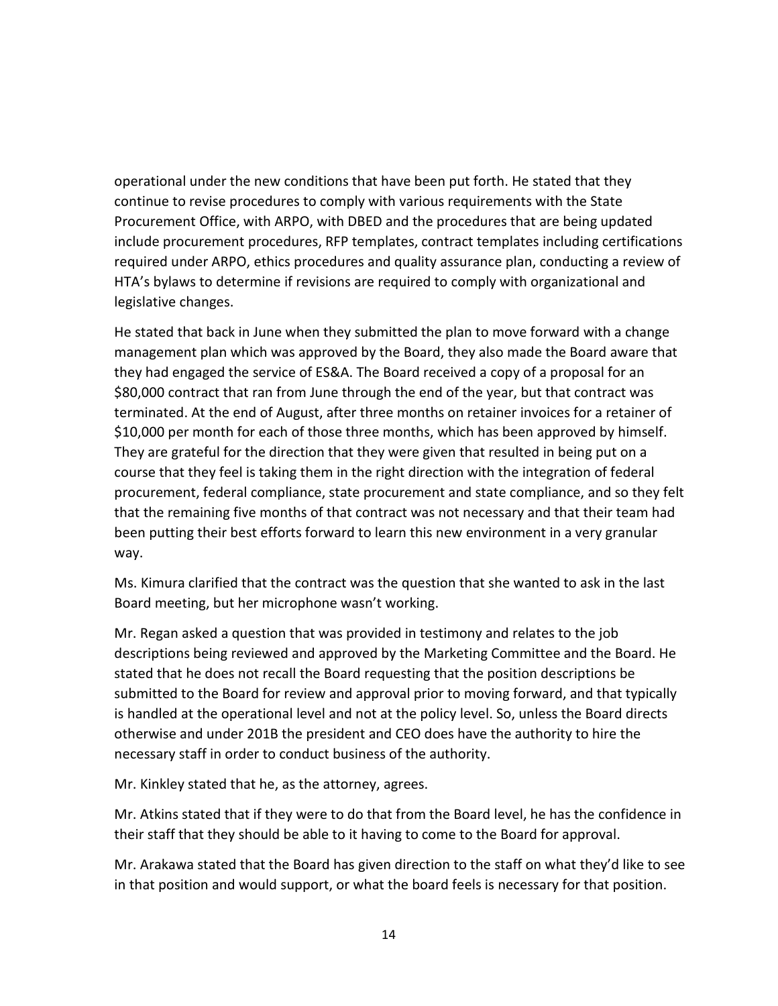operational under the new conditions that have been put forth. He stated that they continue to revise procedures to comply with various requirements with the State Procurement Office, with ARPO, with DBED and the procedures that are being updated include procurement procedures, RFP templates, contract templates including certifications required under ARPO, ethics procedures and quality assurance plan, conducting a review of HTA's bylaws to determine if revisions are required to comply with organizational and legislative changes.

He stated that back in June when they submitted the plan to move forward with a change management plan which was approved by the Board, they also made the Board aware that they had engaged the service of ES&A. The Board received a copy of a proposal for an \$80,000 contract that ran from June through the end of the year, but that contract was terminated. At the end of August, after three months on retainer invoices for a retainer of \$10,000 per month for each of those three months, which has been approved by himself. They are grateful for the direction that they were given that resulted in being put on a course that they feel is taking them in the right direction with the integration of federal procurement, federal compliance, state procurement and state compliance, and so they felt that the remaining five months of that contract was not necessary and that their team had been putting their best efforts forward to learn this new environment in a very granular way.

Ms. Kimura clarified that the contract was the question that she wanted to ask in the last Board meeting, but her microphone wasn't working.

Mr. Regan asked a question that was provided in testimony and relates to the job descriptions being reviewed and approved by the Marketing Committee and the Board. He stated that he does not recall the Board requesting that the position descriptions be submitted to the Board for review and approval prior to moving forward, and that typically is handled at the operational level and not at the policy level. So, unless the Board directs otherwise and under 201B the president and CEO does have the authority to hire the necessary staff in order to conduct business of the authority.

Mr. Kinkley stated that he, as the attorney, agrees.

Mr. Atkins stated that if they were to do that from the Board level, he has the confidence in their staff that they should be able to it having to come to the Board for approval.

Mr. Arakawa stated that the Board has given direction to the staff on what they'd like to see in that position and would support, or what the board feels is necessary for that position.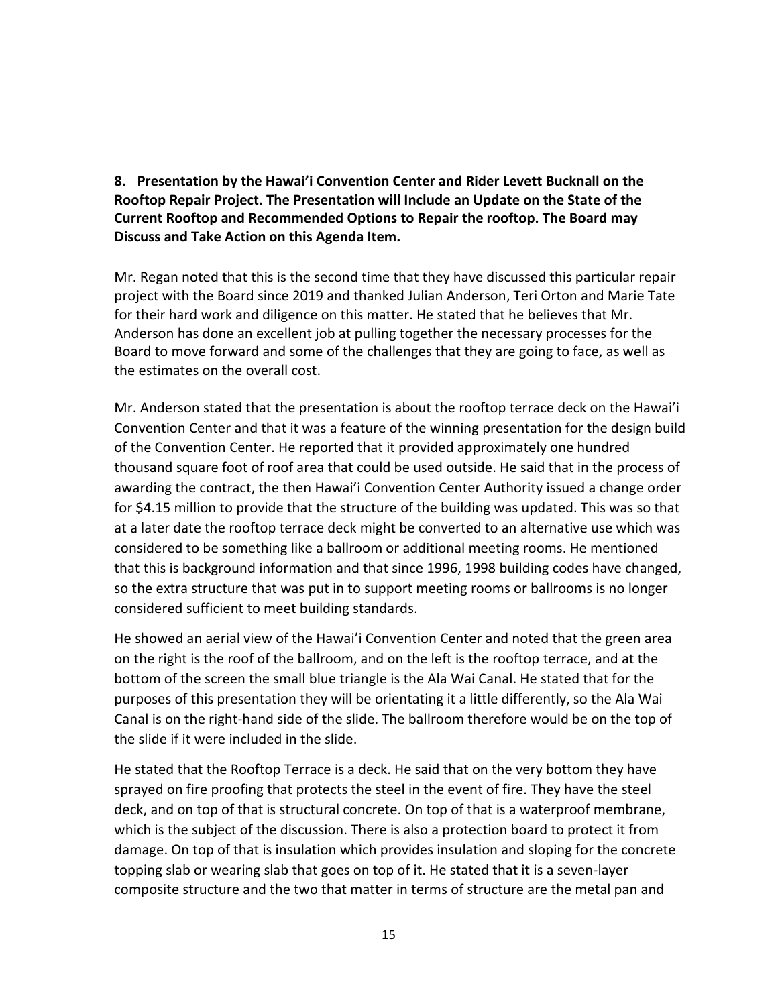**8. Presentation by the Hawai'i Convention Center and Rider Levett Bucknall on the Rooftop Repair Project. The Presentation will Include an Update on the State of the Current Rooftop and Recommended Options to Repair the rooftop. The Board may Discuss and Take Action on this Agenda Item.**

Mr. Regan noted that this is the second time that they have discussed this particular repair project with the Board since 2019 and thanked Julian Anderson, Teri Orton and Marie Tate for their hard work and diligence on this matter. He stated that he believes that Mr. Anderson has done an excellent job at pulling together the necessary processes for the Board to move forward and some of the challenges that they are going to face, as well as the estimates on the overall cost.

Mr. Anderson stated that the presentation is about the rooftop terrace deck on the Hawai'i Convention Center and that it was a feature of the winning presentation for the design build of the Convention Center. He reported that it provided approximately one hundred thousand square foot of roof area that could be used outside. He said that in the process of awarding the contract, the then Hawai'i Convention Center Authority issued a change order for \$4.15 million to provide that the structure of the building was updated. This was so that at a later date the rooftop terrace deck might be converted to an alternative use which was considered to be something like a ballroom or additional meeting rooms. He mentioned that this is background information and that since 1996, 1998 building codes have changed, so the extra structure that was put in to support meeting rooms or ballrooms is no longer considered sufficient to meet building standards.

He showed an aerial view of the Hawai'i Convention Center and noted that the green area on the right is the roof of the ballroom, and on the left is the rooftop terrace, and at the bottom of the screen the small blue triangle is the Ala Wai Canal. He stated that for the purposes of this presentation they will be orientating it a little differently, so the Ala Wai Canal is on the right-hand side of the slide. The ballroom therefore would be on the top of the slide if it were included in the slide.

He stated that the Rooftop Terrace is a deck. He said that on the very bottom they have sprayed on fire proofing that protects the steel in the event of fire. They have the steel deck, and on top of that is structural concrete. On top of that is a waterproof membrane, which is the subject of the discussion. There is also a protection board to protect it from damage. On top of that is insulation which provides insulation and sloping for the concrete topping slab or wearing slab that goes on top of it. He stated that it is a seven-layer composite structure and the two that matter in terms of structure are the metal pan and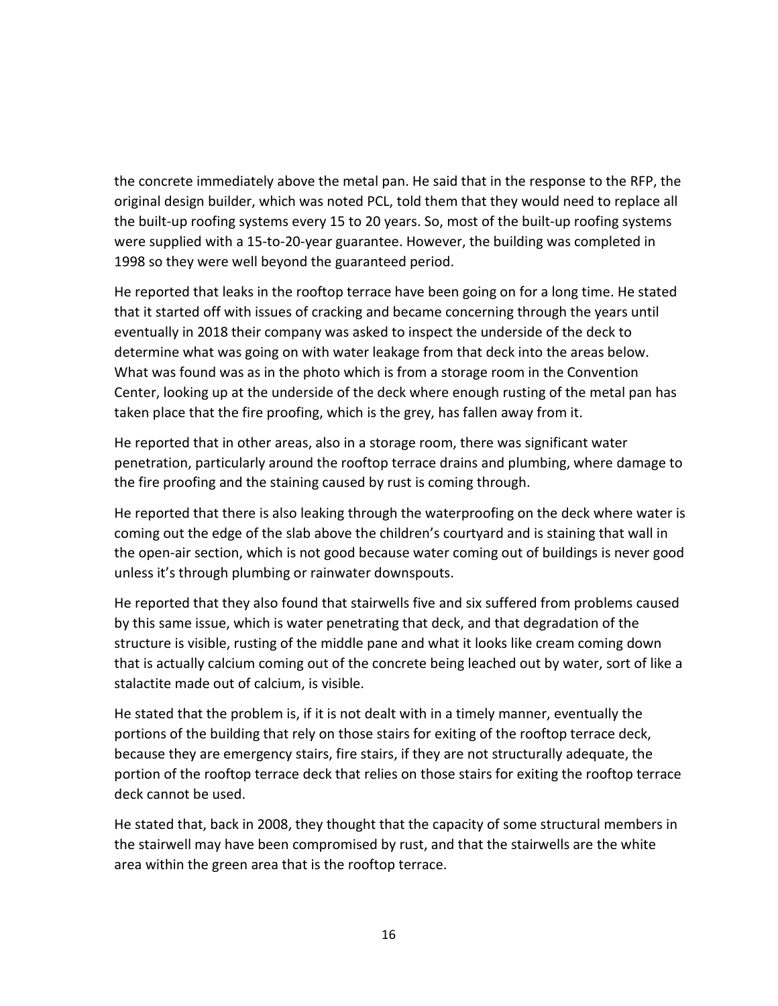the concrete immediately above the metal pan. He said that in the response to the RFP, the original design builder, which was noted PCL, told them that they would need to replace all the built-up roofing systems every 15 to 20 years. So, most of the built-up roofing systems were supplied with a 15-to-20-year guarantee. However, the building was completed in 1998 so they were well beyond the guaranteed period.

He reported that leaks in the rooftop terrace have been going on for a long time. He stated that it started off with issues of cracking and became concerning through the years until eventually in 2018 their company was asked to inspect the underside of the deck to determine what was going on with water leakage from that deck into the areas below. What was found was as in the photo which is from a storage room in the Convention Center, looking up at the underside of the deck where enough rusting of the metal pan has taken place that the fire proofing, which is the grey, has fallen away from it.

He reported that in other areas, also in a storage room, there was significant water penetration, particularly around the rooftop terrace drains and plumbing, where damage to the fire proofing and the staining caused by rust is coming through.

He reported that there is also leaking through the waterproofing on the deck where water is coming out the edge of the slab above the children's courtyard and is staining that wall in the open-air section, which is not good because water coming out of buildings is never good unless it's through plumbing or rainwater downspouts.

He reported that they also found that stairwells five and six suffered from problems caused by this same issue, which is water penetrating that deck, and that degradation of the structure is visible, rusting of the middle pane and what it looks like cream coming down that is actually calcium coming out of the concrete being leached out by water, sort of like a stalactite made out of calcium, is visible.

He stated that the problem is, if it is not dealt with in a timely manner, eventually the portions of the building that rely on those stairs for exiting of the rooftop terrace deck, because they are emergency stairs, fire stairs, if they are not structurally adequate, the portion of the rooftop terrace deck that relies on those stairs for exiting the rooftop terrace deck cannot be used.

He stated that, back in 2008, they thought that the capacity of some structural members in the stairwell may have been compromised by rust, and that the stairwells are the white area within the green area that is the rooftop terrace.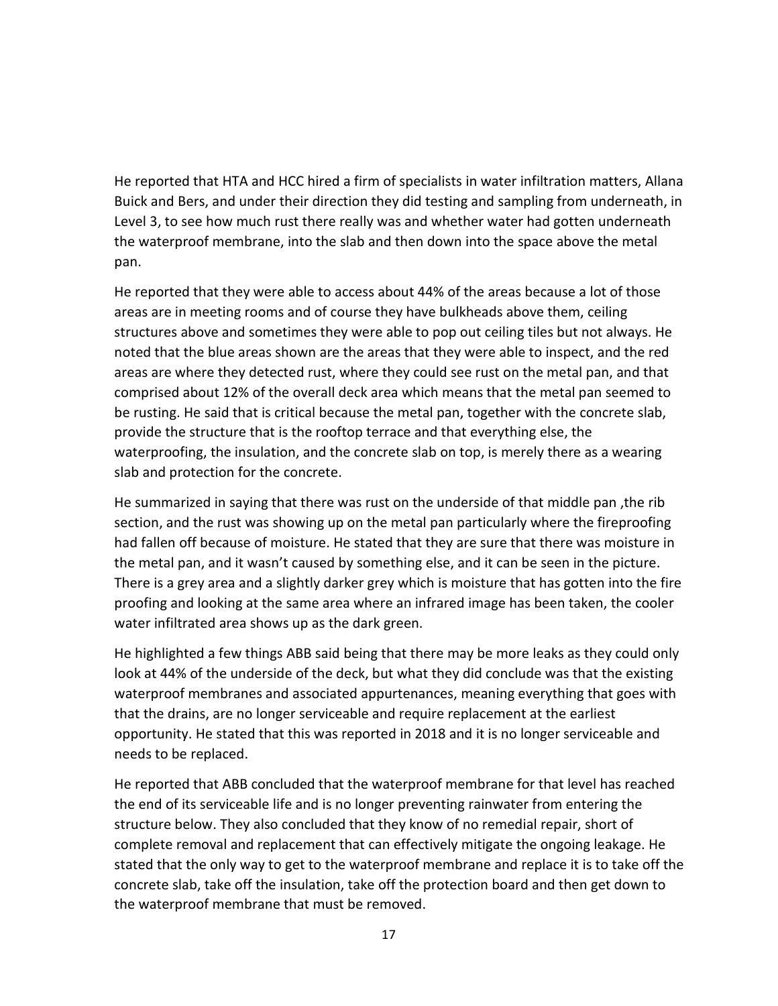He reported that HTA and HCC hired a firm of specialists in water infiltration matters, Allana Buick and Bers, and under their direction they did testing and sampling from underneath, in Level 3, to see how much rust there really was and whether water had gotten underneath the waterproof membrane, into the slab and then down into the space above the metal pan.

He reported that they were able to access about 44% of the areas because a lot of those areas are in meeting rooms and of course they have bulkheads above them, ceiling structures above and sometimes they were able to pop out ceiling tiles but not always. He noted that the blue areas shown are the areas that they were able to inspect, and the red areas are where they detected rust, where they could see rust on the metal pan, and that comprised about 12% of the overall deck area which means that the metal pan seemed to be rusting. He said that is critical because the metal pan, together with the concrete slab, provide the structure that is the rooftop terrace and that everything else, the waterproofing, the insulation, and the concrete slab on top, is merely there as a wearing slab and protection for the concrete.

He summarized in saying that there was rust on the underside of that middle pan ,the rib section, and the rust was showing up on the metal pan particularly where the fireproofing had fallen off because of moisture. He stated that they are sure that there was moisture in the metal pan, and it wasn't caused by something else, and it can be seen in the picture. There is a grey area and a slightly darker grey which is moisture that has gotten into the fire proofing and looking at the same area where an infrared image has been taken, the cooler water infiltrated area shows up as the dark green.

He highlighted a few things ABB said being that there may be more leaks as they could only look at 44% of the underside of the deck, but what they did conclude was that the existing waterproof membranes and associated appurtenances, meaning everything that goes with that the drains, are no longer serviceable and require replacement at the earliest opportunity. He stated that this was reported in 2018 and it is no longer serviceable and needs to be replaced.

He reported that ABB concluded that the waterproof membrane for that level has reached the end of its serviceable life and is no longer preventing rainwater from entering the structure below. They also concluded that they know of no remedial repair, short of complete removal and replacement that can effectively mitigate the ongoing leakage. He stated that the only way to get to the waterproof membrane and replace it is to take off the concrete slab, take off the insulation, take off the protection board and then get down to the waterproof membrane that must be removed.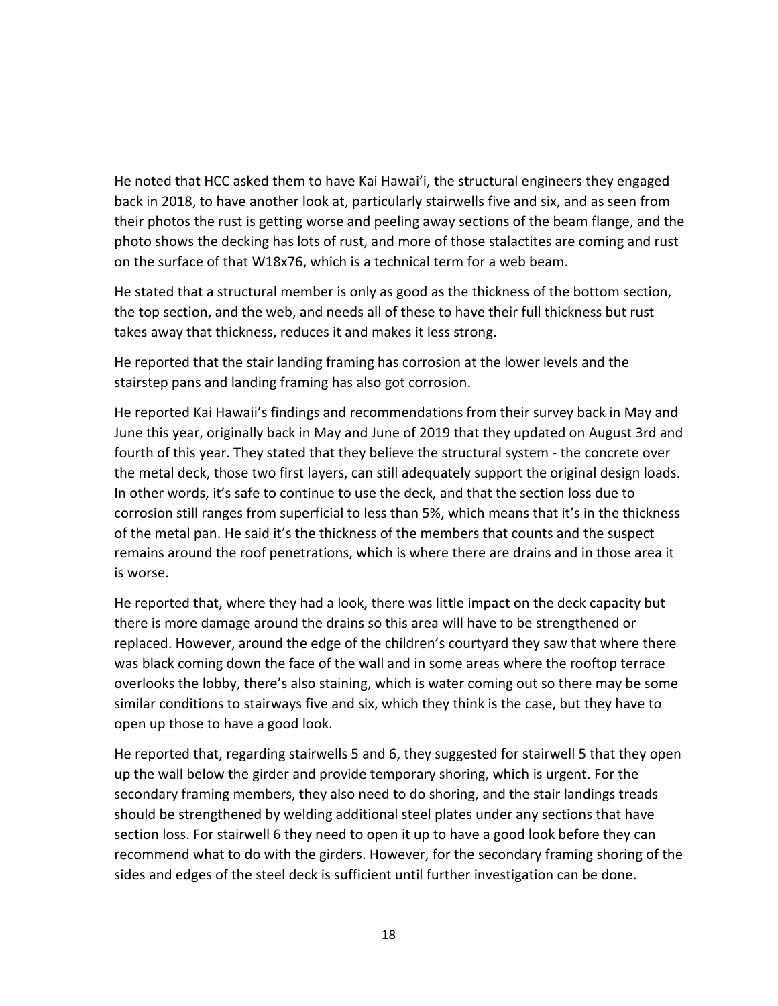He noted that HCC asked them to have Kai Hawai'i, the structural engineers they engaged back in 2018, to have another look at, particularly stairwells five and six, and as seen from their photos the rust is getting worse and peeling away sections of the beam flange, and the photo shows the decking has lots of rust, and more of those stalactites are coming and rust on the surface of that W18x76, which is a technical term for a web beam.

He stated that a structural member is only as good as the thickness of the bottom section, the top section, and the web, and needs all of these to have their full thickness but rust takes away that thickness, reduces it and makes it less strong.

He reported that the stair landing framing has corrosion at the lower levels and the stairstep pans and landing framing has also got corrosion.

He reported Kai Hawaii's findings and recommendations from their survey back in May and June this year, originally back in May and June of 2019 that they updated on August 3rd and fourth of this year. They stated that they believe the structural system - the concrete over the metal deck, those two first layers, can still adequately support the original design loads. In other words, it's safe to continue to use the deck, and that the section loss due to corrosion still ranges from superficial to less than 5%, which means that it's in the thickness of the metal pan. He said it's the thickness of the members that counts and the suspect remains around the roof penetrations, which is where there are drains and in those area it is worse.

He reported that, where they had a look, there was little impact on the deck capacity but there is more damage around the drains so this area will have to be strengthened or replaced. However, around the edge of the children's courtyard they saw that where there was black coming down the face of the wall and in some areas where the rooftop terrace overlooks the lobby, there's also staining, which is water coming out so there may be some similar conditions to stairways five and six, which they think is the case, but they have to open up those to have a good look.

He reported that, regarding stairwells 5 and 6, they suggested for stairwell 5 that they open up the wall below the girder and provide temporary shoring, which is urgent. For the secondary framing members, they also need to do shoring, and the stair landings treads should be strengthened by welding additional steel plates under any sections that have section loss. For stairwell 6 they need to open it up to have a good look before they can recommend what to do with the girders. However, for the secondary framing shoring of the sides and edges of the steel deck is sufficient until further investigation can be done.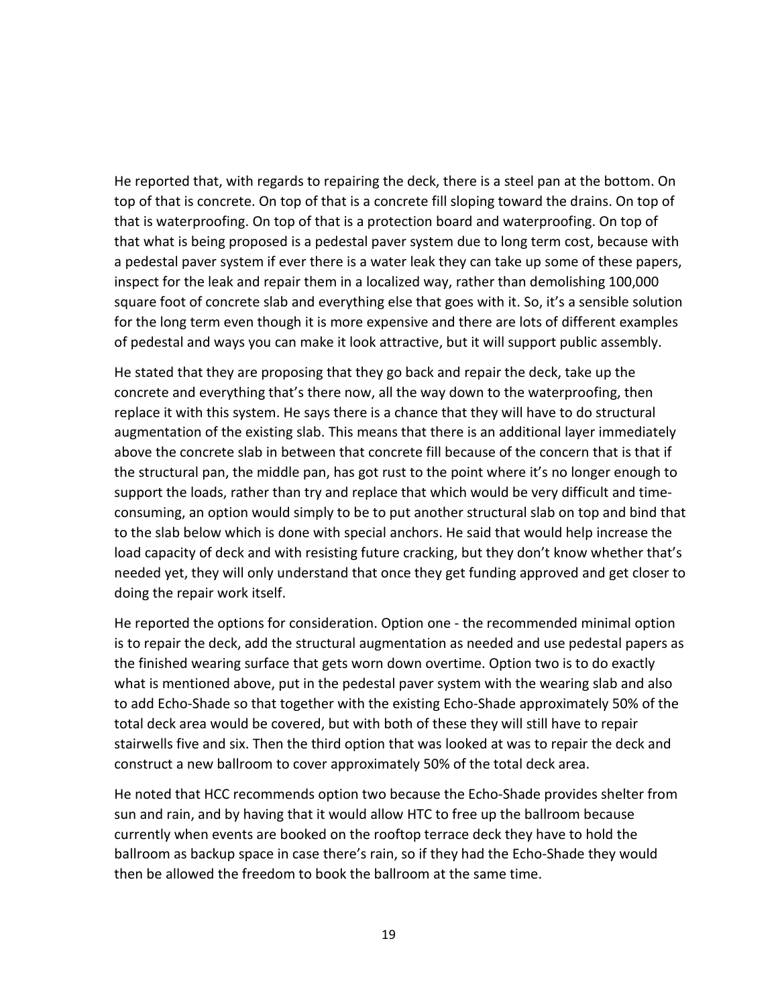He reported that, with regards to repairing the deck, there is a steel pan at the bottom. On top of that is concrete. On top of that is a concrete fill sloping toward the drains. On top of that is waterproofing. On top of that is a protection board and waterproofing. On top of that what is being proposed is a pedestal paver system due to long term cost, because with a pedestal paver system if ever there is a water leak they can take up some of these papers, inspect for the leak and repair them in a localized way, rather than demolishing 100,000 square foot of concrete slab and everything else that goes with it. So, it's a sensible solution for the long term even though it is more expensive and there are lots of different examples of pedestal and ways you can make it look attractive, but it will support public assembly.

He stated that they are proposing that they go back and repair the deck, take up the concrete and everything that's there now, all the way down to the waterproofing, then replace it with this system. He says there is a chance that they will have to do structural augmentation of the existing slab. This means that there is an additional layer immediately above the concrete slab in between that concrete fill because of the concern that is that if the structural pan, the middle pan, has got rust to the point where it's no longer enough to support the loads, rather than try and replace that which would be very difficult and timeconsuming, an option would simply to be to put another structural slab on top and bind that to the slab below which is done with special anchors. He said that would help increase the load capacity of deck and with resisting future cracking, but they don't know whether that's needed yet, they will only understand that once they get funding approved and get closer to doing the repair work itself.

He reported the options for consideration. Option one - the recommended minimal option is to repair the deck, add the structural augmentation as needed and use pedestal papers as the finished wearing surface that gets worn down overtime. Option two is to do exactly what is mentioned above, put in the pedestal paver system with the wearing slab and also to add Echo-Shade so that together with the existing Echo-Shade approximately 50% of the total deck area would be covered, but with both of these they will still have to repair stairwells five and six. Then the third option that was looked at was to repair the deck and construct a new ballroom to cover approximately 50% of the total deck area.

He noted that HCC recommends option two because the Echo-Shade provides shelter from sun and rain, and by having that it would allow HTC to free up the ballroom because currently when events are booked on the rooftop terrace deck they have to hold the ballroom as backup space in case there's rain, so if they had the Echo-Shade they would then be allowed the freedom to book the ballroom at the same time.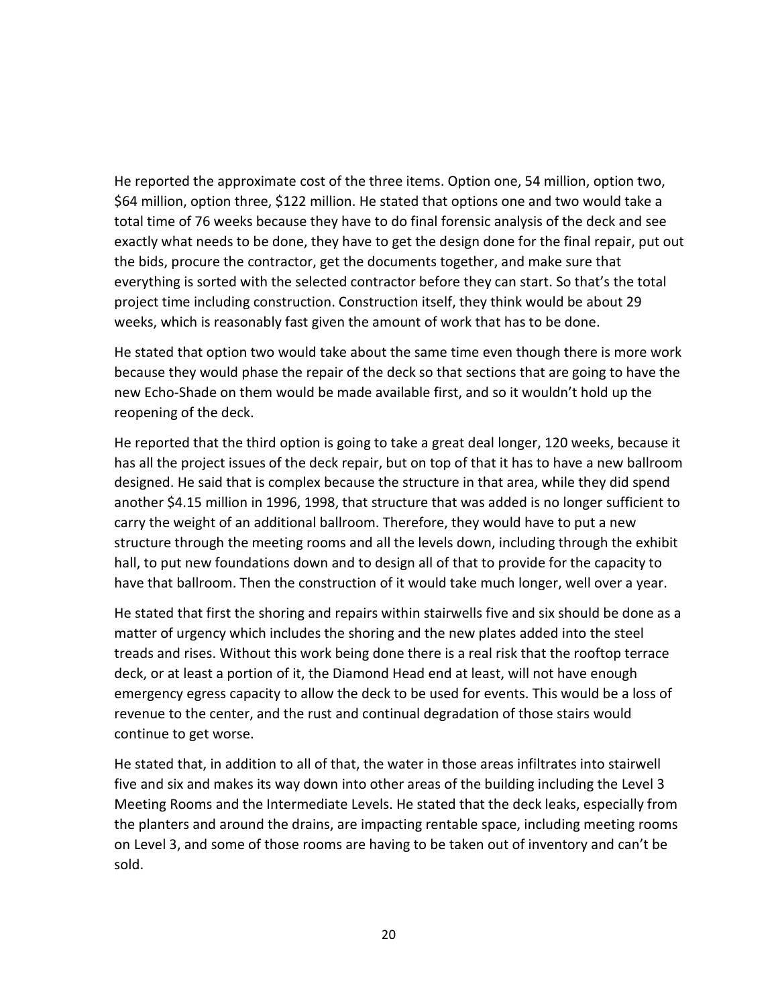He reported the approximate cost of the three items. Option one, 54 million, option two, \$64 million, option three, \$122 million. He stated that options one and two would take a total time of 76 weeks because they have to do final forensic analysis of the deck and see exactly what needs to be done, they have to get the design done for the final repair, put out the bids, procure the contractor, get the documents together, and make sure that everything is sorted with the selected contractor before they can start. So that's the total project time including construction. Construction itself, they think would be about 29 weeks, which is reasonably fast given the amount of work that has to be done.

He stated that option two would take about the same time even though there is more work because they would phase the repair of the deck so that sections that are going to have the new Echo-Shade on them would be made available first, and so it wouldn't hold up the reopening of the deck.

He reported that the third option is going to take a great deal longer, 120 weeks, because it has all the project issues of the deck repair, but on top of that it has to have a new ballroom designed. He said that is complex because the structure in that area, while they did spend another \$4.15 million in 1996, 1998, that structure that was added is no longer sufficient to carry the weight of an additional ballroom. Therefore, they would have to put a new structure through the meeting rooms and all the levels down, including through the exhibit hall, to put new foundations down and to design all of that to provide for the capacity to have that ballroom. Then the construction of it would take much longer, well over a year.

He stated that first the shoring and repairs within stairwells five and six should be done as a matter of urgency which includes the shoring and the new plates added into the steel treads and rises. Without this work being done there is a real risk that the rooftop terrace deck, or at least a portion of it, the Diamond Head end at least, will not have enough emergency egress capacity to allow the deck to be used for events. This would be a loss of revenue to the center, and the rust and continual degradation of those stairs would continue to get worse.

He stated that, in addition to all of that, the water in those areas infiltrates into stairwell five and six and makes its way down into other areas of the building including the Level 3 Meeting Rooms and the Intermediate Levels. He stated that the deck leaks, especially from the planters and around the drains, are impacting rentable space, including meeting rooms on Level 3, and some of those rooms are having to be taken out of inventory and can't be sold.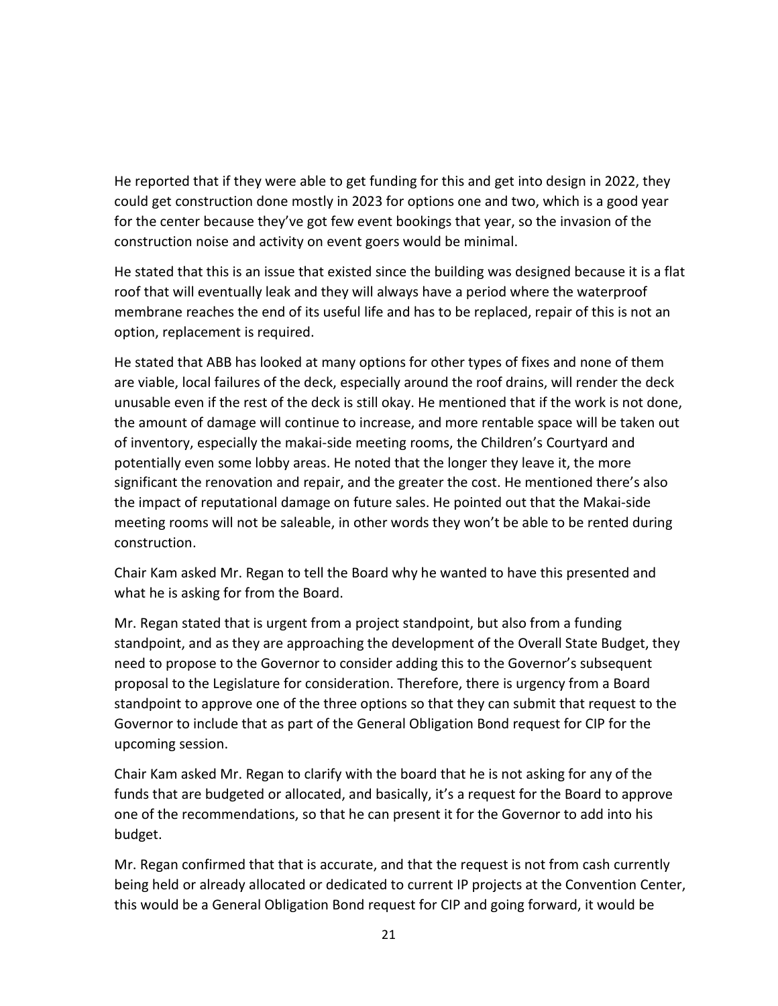He reported that if they were able to get funding for this and get into design in 2022, they could get construction done mostly in 2023 for options one and two, which is a good year for the center because they've got few event bookings that year, so the invasion of the construction noise and activity on event goers would be minimal.

He stated that this is an issue that existed since the building was designed because it is a flat roof that will eventually leak and they will always have a period where the waterproof membrane reaches the end of its useful life and has to be replaced, repair of this is not an option, replacement is required.

He stated that ABB has looked at many options for other types of fixes and none of them are viable, local failures of the deck, especially around the roof drains, will render the deck unusable even if the rest of the deck is still okay. He mentioned that if the work is not done, the amount of damage will continue to increase, and more rentable space will be taken out of inventory, especially the makai-side meeting rooms, the Children's Courtyard and potentially even some lobby areas. He noted that the longer they leave it, the more significant the renovation and repair, and the greater the cost. He mentioned there's also the impact of reputational damage on future sales. He pointed out that the Makai-side meeting rooms will not be saleable, in other words they won't be able to be rented during construction.

Chair Kam asked Mr. Regan to tell the Board why he wanted to have this presented and what he is asking for from the Board.

Mr. Regan stated that is urgent from a project standpoint, but also from a funding standpoint, and as they are approaching the development of the Overall State Budget, they need to propose to the Governor to consider adding this to the Governor's subsequent proposal to the Legislature for consideration. Therefore, there is urgency from a Board standpoint to approve one of the three options so that they can submit that request to the Governor to include that as part of the General Obligation Bond request for CIP for the upcoming session.

Chair Kam asked Mr. Regan to clarify with the board that he is not asking for any of the funds that are budgeted or allocated, and basically, it's a request for the Board to approve one of the recommendations, so that he can present it for the Governor to add into his budget.

Mr. Regan confirmed that that is accurate, and that the request is not from cash currently being held or already allocated or dedicated to current IP projects at the Convention Center, this would be a General Obligation Bond request for CIP and going forward, it would be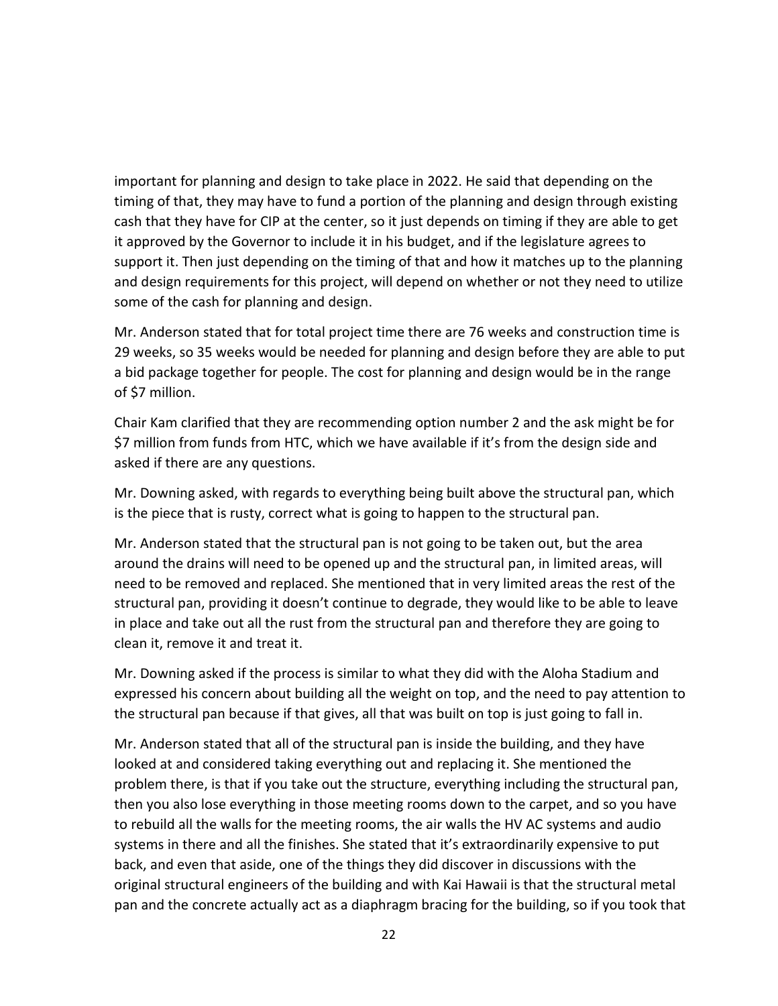important for planning and design to take place in 2022. He said that depending on the timing of that, they may have to fund a portion of the planning and design through existing cash that they have for CIP at the center, so it just depends on timing if they are able to get it approved by the Governor to include it in his budget, and if the legislature agrees to support it. Then just depending on the timing of that and how it matches up to the planning and design requirements for this project, will depend on whether or not they need to utilize some of the cash for planning and design.

Mr. Anderson stated that for total project time there are 76 weeks and construction time is 29 weeks, so 35 weeks would be needed for planning and design before they are able to put a bid package together for people. The cost for planning and design would be in the range of \$7 million.

Chair Kam clarified that they are recommending option number 2 and the ask might be for \$7 million from funds from HTC, which we have available if it's from the design side and asked if there are any questions.

Mr. Downing asked, with regards to everything being built above the structural pan, which is the piece that is rusty, correct what is going to happen to the structural pan.

Mr. Anderson stated that the structural pan is not going to be taken out, but the area around the drains will need to be opened up and the structural pan, in limited areas, will need to be removed and replaced. She mentioned that in very limited areas the rest of the structural pan, providing it doesn't continue to degrade, they would like to be able to leave in place and take out all the rust from the structural pan and therefore they are going to clean it, remove it and treat it.

Mr. Downing asked if the process is similar to what they did with the Aloha Stadium and expressed his concern about building all the weight on top, and the need to pay attention to the structural pan because if that gives, all that was built on top is just going to fall in.

Mr. Anderson stated that all of the structural pan is inside the building, and they have looked at and considered taking everything out and replacing it. She mentioned the problem there, is that if you take out the structure, everything including the structural pan, then you also lose everything in those meeting rooms down to the carpet, and so you have to rebuild all the walls for the meeting rooms, the air walls the HV AC systems and audio systems in there and all the finishes. She stated that it's extraordinarily expensive to put back, and even that aside, one of the things they did discover in discussions with the original structural engineers of the building and with Kai Hawaii is that the structural metal pan and the concrete actually act as a diaphragm bracing for the building, so if you took that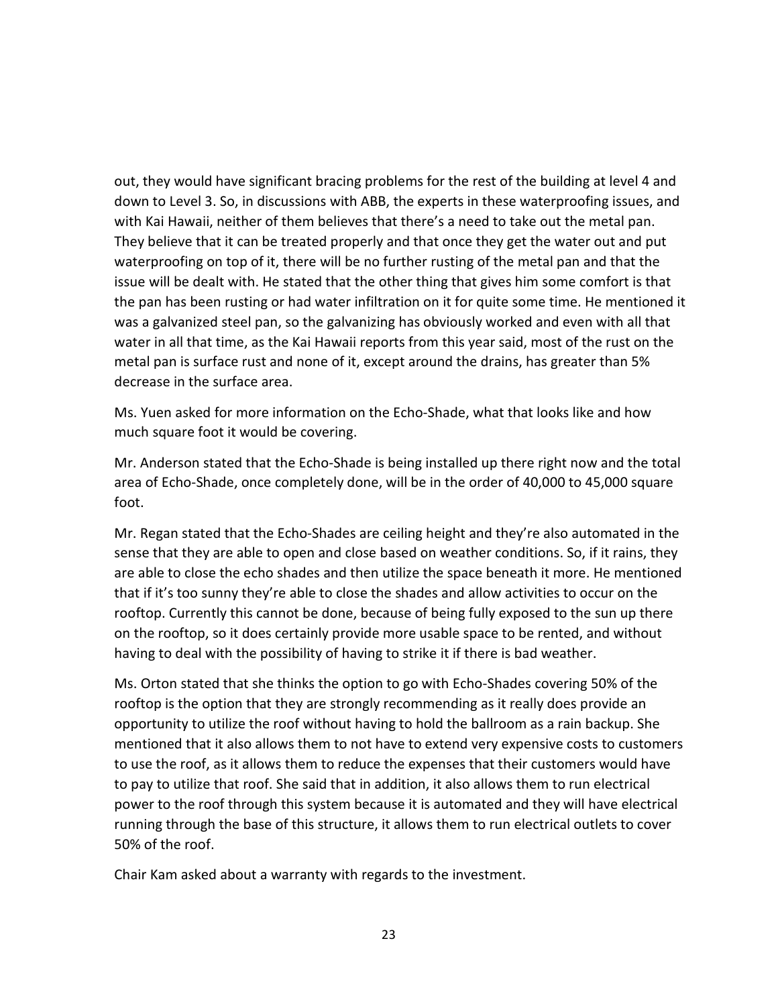out, they would have significant bracing problems for the rest of the building at level 4 and down to Level 3. So, in discussions with ABB, the experts in these waterproofing issues, and with Kai Hawaii, neither of them believes that there's a need to take out the metal pan. They believe that it can be treated properly and that once they get the water out and put waterproofing on top of it, there will be no further rusting of the metal pan and that the issue will be dealt with. He stated that the other thing that gives him some comfort is that the pan has been rusting or had water infiltration on it for quite some time. He mentioned it was a galvanized steel pan, so the galvanizing has obviously worked and even with all that water in all that time, as the Kai Hawaii reports from this year said, most of the rust on the metal pan is surface rust and none of it, except around the drains, has greater than 5% decrease in the surface area.

Ms. Yuen asked for more information on the Echo-Shade, what that looks like and how much square foot it would be covering.

Mr. Anderson stated that the Echo-Shade is being installed up there right now and the total area of Echo-Shade, once completely done, will be in the order of 40,000 to 45,000 square foot.

Mr. Regan stated that the Echo-Shades are ceiling height and they're also automated in the sense that they are able to open and close based on weather conditions. So, if it rains, they are able to close the echo shades and then utilize the space beneath it more. He mentioned that if it's too sunny they're able to close the shades and allow activities to occur on the rooftop. Currently this cannot be done, because of being fully exposed to the sun up there on the rooftop, so it does certainly provide more usable space to be rented, and without having to deal with the possibility of having to strike it if there is bad weather.

Ms. Orton stated that she thinks the option to go with Echo-Shades covering 50% of the rooftop is the option that they are strongly recommending as it really does provide an opportunity to utilize the roof without having to hold the ballroom as a rain backup. She mentioned that it also allows them to not have to extend very expensive costs to customers to use the roof, as it allows them to reduce the expenses that their customers would have to pay to utilize that roof. She said that in addition, it also allows them to run electrical power to the roof through this system because it is automated and they will have electrical running through the base of this structure, it allows them to run electrical outlets to cover 50% of the roof.

Chair Kam asked about a warranty with regards to the investment.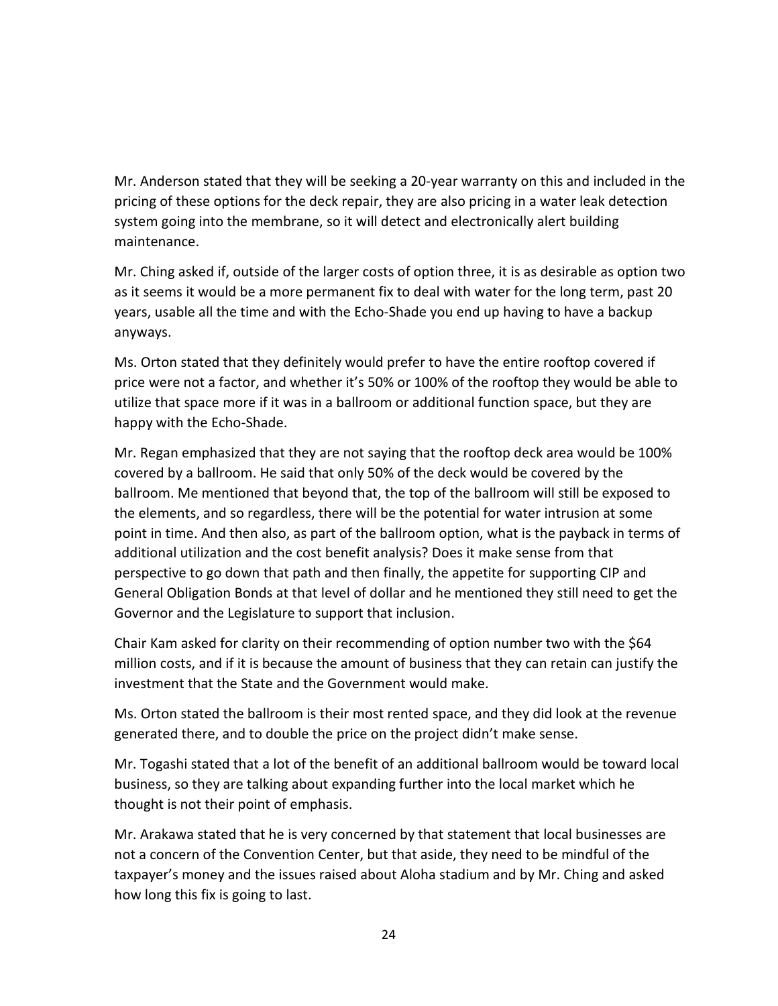Mr. Anderson stated that they will be seeking a 20-year warranty on this and included in the pricing of these options for the deck repair, they are also pricing in a water leak detection system going into the membrane, so it will detect and electronically alert building maintenance.

Mr. Ching asked if, outside of the larger costs of option three, it is as desirable as option two as it seems it would be a more permanent fix to deal with water for the long term, past 20 years, usable all the time and with the Echo-Shade you end up having to have a backup anyways.

Ms. Orton stated that they definitely would prefer to have the entire rooftop covered if price were not a factor, and whether it's 50% or 100% of the rooftop they would be able to utilize that space more if it was in a ballroom or additional function space, but they are happy with the Echo-Shade.

Mr. Regan emphasized that they are not saying that the rooftop deck area would be 100% covered by a ballroom. He said that only 50% of the deck would be covered by the ballroom. Me mentioned that beyond that, the top of the ballroom will still be exposed to the elements, and so regardless, there will be the potential for water intrusion at some point in time. And then also, as part of the ballroom option, what is the payback in terms of additional utilization and the cost benefit analysis? Does it make sense from that perspective to go down that path and then finally, the appetite for supporting CIP and General Obligation Bonds at that level of dollar and he mentioned they still need to get the Governor and the Legislature to support that inclusion.

Chair Kam asked for clarity on their recommending of option number two with the \$64 million costs, and if it is because the amount of business that they can retain can justify the investment that the State and the Government would make.

Ms. Orton stated the ballroom is their most rented space, and they did look at the revenue generated there, and to double the price on the project didn't make sense.

Mr. Togashi stated that a lot of the benefit of an additional ballroom would be toward local business, so they are talking about expanding further into the local market which he thought is not their point of emphasis.

Mr. Arakawa stated that he is very concerned by that statement that local businesses are not a concern of the Convention Center, but that aside, they need to be mindful of the taxpayer's money and the issues raised about Aloha stadium and by Mr. Ching and asked how long this fix is going to last.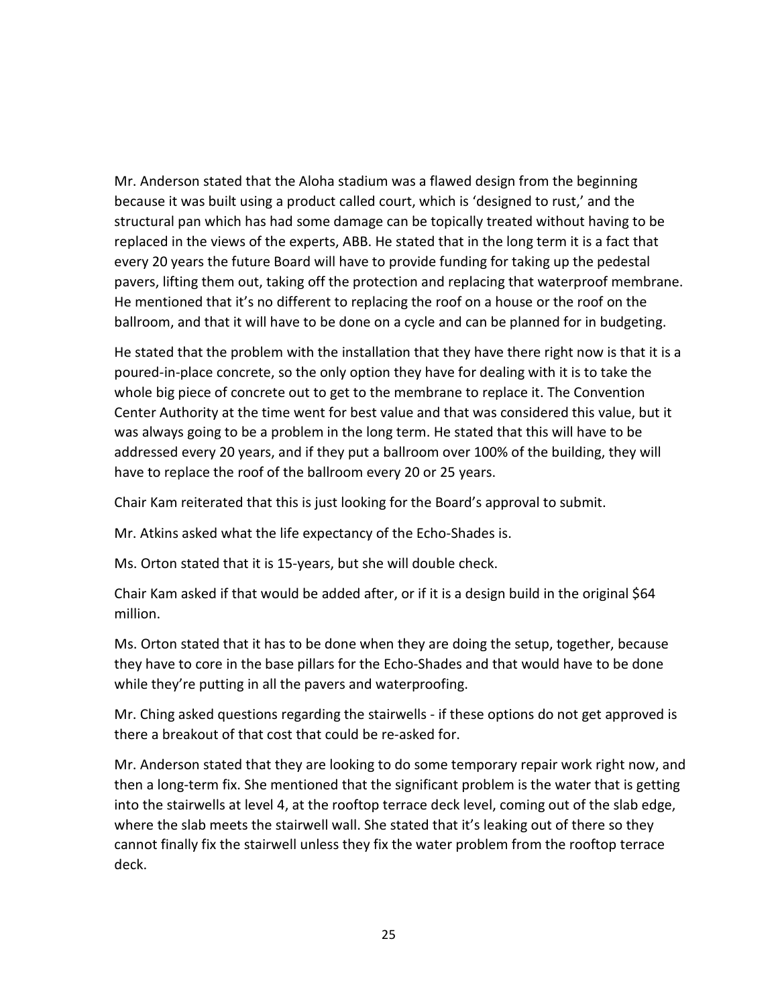Mr. Anderson stated that the Aloha stadium was a flawed design from the beginning because it was built using a product called court, which is 'designed to rust,' and the structural pan which has had some damage can be topically treated without having to be replaced in the views of the experts, ABB. He stated that in the long term it is a fact that every 20 years the future Board will have to provide funding for taking up the pedestal pavers, lifting them out, taking off the protection and replacing that waterproof membrane. He mentioned that it's no different to replacing the roof on a house or the roof on the ballroom, and that it will have to be done on a cycle and can be planned for in budgeting.

He stated that the problem with the installation that they have there right now is that it is a poured-in-place concrete, so the only option they have for dealing with it is to take the whole big piece of concrete out to get to the membrane to replace it. The Convention Center Authority at the time went for best value and that was considered this value, but it was always going to be a problem in the long term. He stated that this will have to be addressed every 20 years, and if they put a ballroom over 100% of the building, they will have to replace the roof of the ballroom every 20 or 25 years.

Chair Kam reiterated that this is just looking for the Board's approval to submit.

Mr. Atkins asked what the life expectancy of the Echo-Shades is.

Ms. Orton stated that it is 15-years, but she will double check.

Chair Kam asked if that would be added after, or if it is a design build in the original \$64 million.

Ms. Orton stated that it has to be done when they are doing the setup, together, because they have to core in the base pillars for the Echo-Shades and that would have to be done while they're putting in all the pavers and waterproofing.

Mr. Ching asked questions regarding the stairwells - if these options do not get approved is there a breakout of that cost that could be re-asked for.

Mr. Anderson stated that they are looking to do some temporary repair work right now, and then a long-term fix. She mentioned that the significant problem is the water that is getting into the stairwells at level 4, at the rooftop terrace deck level, coming out of the slab edge, where the slab meets the stairwell wall. She stated that it's leaking out of there so they cannot finally fix the stairwell unless they fix the water problem from the rooftop terrace deck.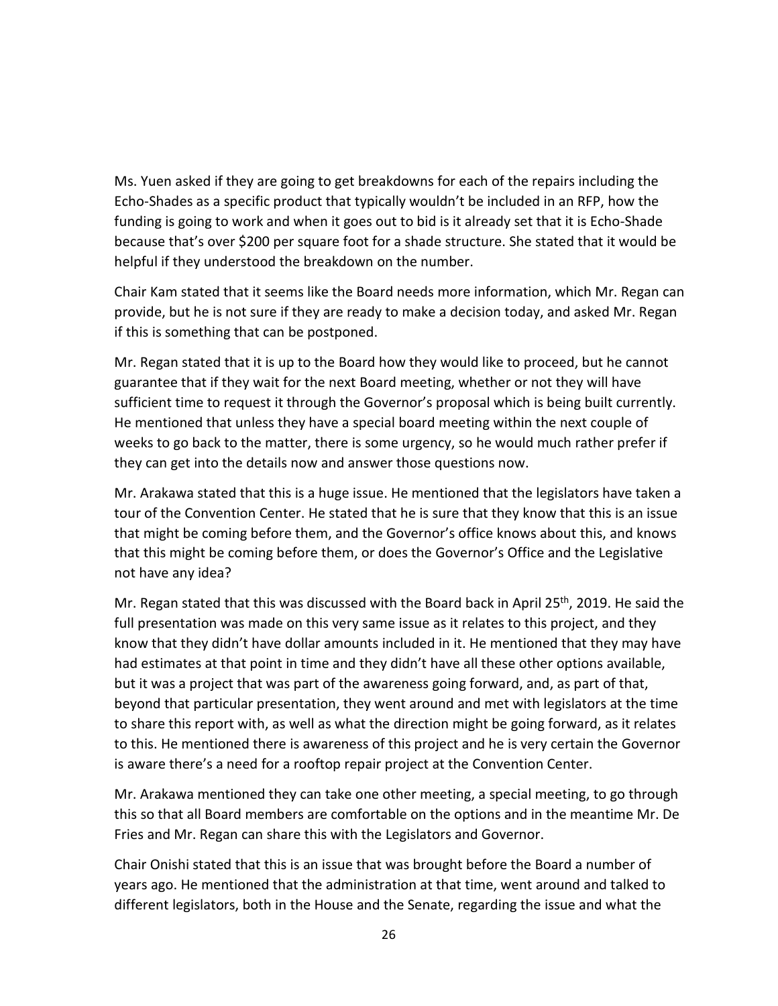Ms. Yuen asked if they are going to get breakdowns for each of the repairs including the Echo-Shades as a specific product that typically wouldn't be included in an RFP, how the funding is going to work and when it goes out to bid is it already set that it is Echo-Shade because that's over \$200 per square foot for a shade structure. She stated that it would be helpful if they understood the breakdown on the number.

Chair Kam stated that it seems like the Board needs more information, which Mr. Regan can provide, but he is not sure if they are ready to make a decision today, and asked Mr. Regan if this is something that can be postponed.

Mr. Regan stated that it is up to the Board how they would like to proceed, but he cannot guarantee that if they wait for the next Board meeting, whether or not they will have sufficient time to request it through the Governor's proposal which is being built currently. He mentioned that unless they have a special board meeting within the next couple of weeks to go back to the matter, there is some urgency, so he would much rather prefer if they can get into the details now and answer those questions now.

Mr. Arakawa stated that this is a huge issue. He mentioned that the legislators have taken a tour of the Convention Center. He stated that he is sure that they know that this is an issue that might be coming before them, and the Governor's office knows about this, and knows that this might be coming before them, or does the Governor's Office and the Legislative not have any idea?

Mr. Regan stated that this was discussed with the Board back in April 25<sup>th</sup>, 2019. He said the full presentation was made on this very same issue as it relates to this project, and they know that they didn't have dollar amounts included in it. He mentioned that they may have had estimates at that point in time and they didn't have all these other options available, but it was a project that was part of the awareness going forward, and, as part of that, beyond that particular presentation, they went around and met with legislators at the time to share this report with, as well as what the direction might be going forward, as it relates to this. He mentioned there is awareness of this project and he is very certain the Governor is aware there's a need for a rooftop repair project at the Convention Center.

Mr. Arakawa mentioned they can take one other meeting, a special meeting, to go through this so that all Board members are comfortable on the options and in the meantime Mr. De Fries and Mr. Regan can share this with the Legislators and Governor.

Chair Onishi stated that this is an issue that was brought before the Board a number of years ago. He mentioned that the administration at that time, went around and talked to different legislators, both in the House and the Senate, regarding the issue and what the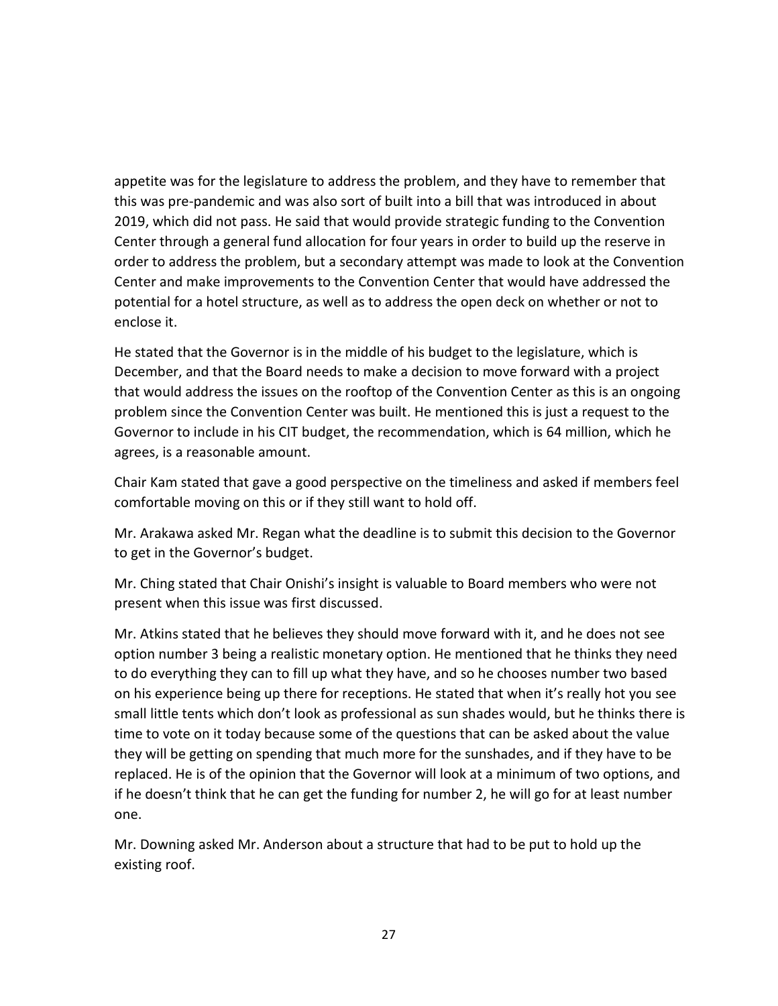appetite was for the legislature to address the problem, and they have to remember that this was pre-pandemic and was also sort of built into a bill that was introduced in about 2019, which did not pass. He said that would provide strategic funding to the Convention Center through a general fund allocation for four years in order to build up the reserve in order to address the problem, but a secondary attempt was made to look at the Convention Center and make improvements to the Convention Center that would have addressed the potential for a hotel structure, as well as to address the open deck on whether or not to enclose it.

He stated that the Governor is in the middle of his budget to the legislature, which is December, and that the Board needs to make a decision to move forward with a project that would address the issues on the rooftop of the Convention Center as this is an ongoing problem since the Convention Center was built. He mentioned this is just a request to the Governor to include in his CIT budget, the recommendation, which is 64 million, which he agrees, is a reasonable amount.

Chair Kam stated that gave a good perspective on the timeliness and asked if members feel comfortable moving on this or if they still want to hold off.

Mr. Arakawa asked Mr. Regan what the deadline is to submit this decision to the Governor to get in the Governor's budget.

Mr. Ching stated that Chair Onishi's insight is valuable to Board members who were not present when this issue was first discussed.

Mr. Atkins stated that he believes they should move forward with it, and he does not see option number 3 being a realistic monetary option. He mentioned that he thinks they need to do everything they can to fill up what they have, and so he chooses number two based on his experience being up there for receptions. He stated that when it's really hot you see small little tents which don't look as professional as sun shades would, but he thinks there is time to vote on it today because some of the questions that can be asked about the value they will be getting on spending that much more for the sunshades, and if they have to be replaced. He is of the opinion that the Governor will look at a minimum of two options, and if he doesn't think that he can get the funding for number 2, he will go for at least number one.

Mr. Downing asked Mr. Anderson about a structure that had to be put to hold up the existing roof.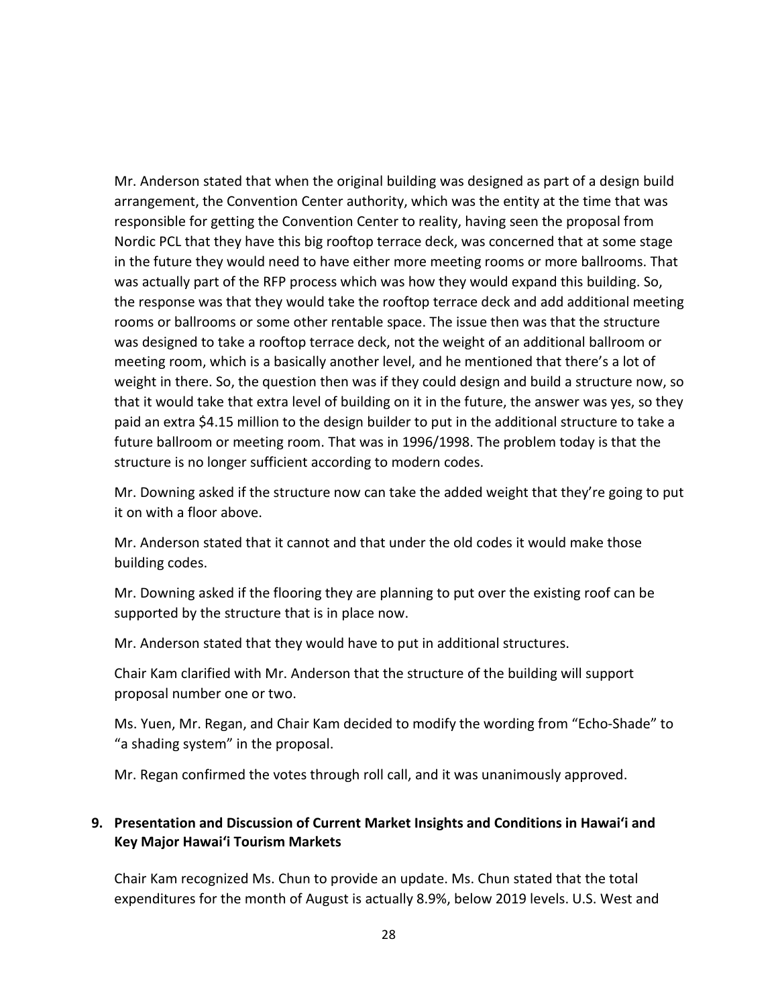Mr. Anderson stated that when the original building was designed as part of a design build arrangement, the Convention Center authority, which was the entity at the time that was responsible for getting the Convention Center to reality, having seen the proposal from Nordic PCL that they have this big rooftop terrace deck, was concerned that at some stage in the future they would need to have either more meeting rooms or more ballrooms. That was actually part of the RFP process which was how they would expand this building. So, the response was that they would take the rooftop terrace deck and add additional meeting rooms or ballrooms or some other rentable space. The issue then was that the structure was designed to take a rooftop terrace deck, not the weight of an additional ballroom or meeting room, which is a basically another level, and he mentioned that there's a lot of weight in there. So, the question then was if they could design and build a structure now, so that it would take that extra level of building on it in the future, the answer was yes, so they paid an extra \$4.15 million to the design builder to put in the additional structure to take a future ballroom or meeting room. That was in 1996/1998. The problem today is that the structure is no longer sufficient according to modern codes.

Mr. Downing asked if the structure now can take the added weight that they're going to put it on with a floor above.

Mr. Anderson stated that it cannot and that under the old codes it would make those building codes.

Mr. Downing asked if the flooring they are planning to put over the existing roof can be supported by the structure that is in place now.

Mr. Anderson stated that they would have to put in additional structures.

Chair Kam clarified with Mr. Anderson that the structure of the building will support proposal number one or two.

Ms. Yuen, Mr. Regan, and Chair Kam decided to modify the wording from "Echo-Shade" to "a shading system" in the proposal.

Mr. Regan confirmed the votes through roll call, and it was unanimously approved.

## **9. Presentation and Discussion of Current Market Insights and Conditions in Hawai'i and Key Major Hawai'i Tourism Markets**

Chair Kam recognized Ms. Chun to provide an update. Ms. Chun stated that the total expenditures for the month of August is actually 8.9%, below 2019 levels. U.S. West and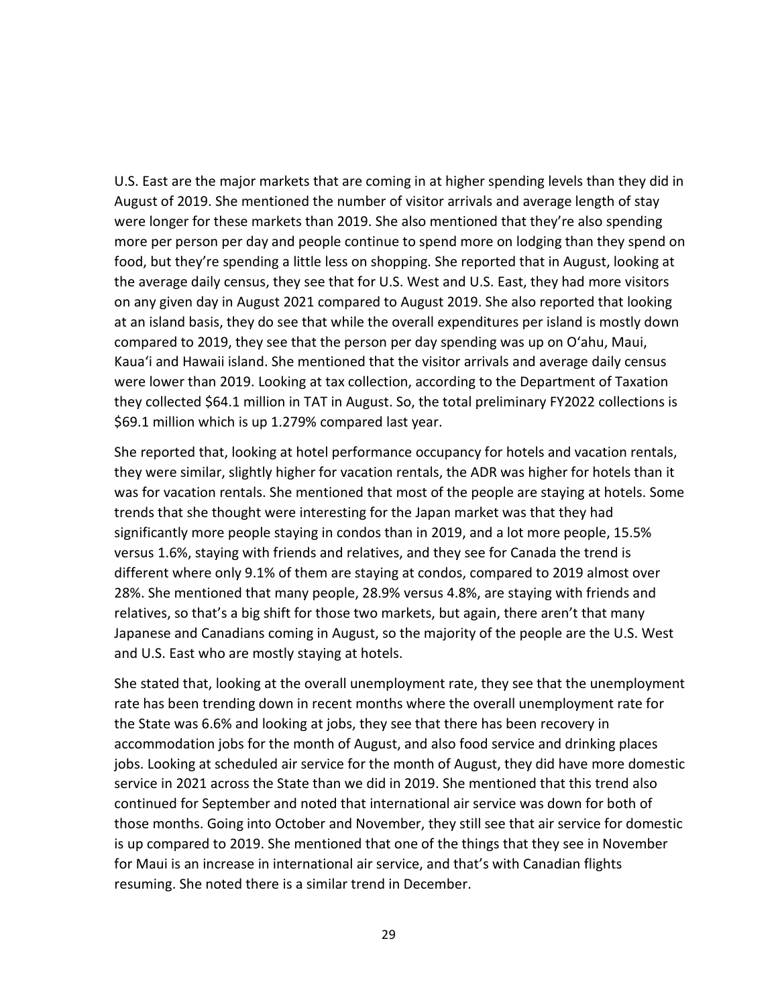U.S. East are the major markets that are coming in at higher spending levels than they did in August of 2019. She mentioned the number of visitor arrivals and average length of stay were longer for these markets than 2019. She also mentioned that they're also spending more per person per day and people continue to spend more on lodging than they spend on food, but they're spending a little less on shopping. She reported that in August, looking at the average daily census, they see that for U.S. West and U.S. East, they had more visitors on any given day in August 2021 compared to August 2019. She also reported that looking at an island basis, they do see that while the overall expenditures per island is mostly down compared to 2019, they see that the person per day spending was up on O'ahu, Maui, Kaua'i and Hawaii island. She mentioned that the visitor arrivals and average daily census were lower than 2019. Looking at tax collection, according to the Department of Taxation they collected \$64.1 million in TAT in August. So, the total preliminary FY2022 collections is \$69.1 million which is up 1.279% compared last year.

She reported that, looking at hotel performance occupancy for hotels and vacation rentals, they were similar, slightly higher for vacation rentals, the ADR was higher for hotels than it was for vacation rentals. She mentioned that most of the people are staying at hotels. Some trends that she thought were interesting for the Japan market was that they had significantly more people staying in condos than in 2019, and a lot more people, 15.5% versus 1.6%, staying with friends and relatives, and they see for Canada the trend is different where only 9.1% of them are staying at condos, compared to 2019 almost over 28%. She mentioned that many people, 28.9% versus 4.8%, are staying with friends and relatives, so that's a big shift for those two markets, but again, there aren't that many Japanese and Canadians coming in August, so the majority of the people are the U.S. West and U.S. East who are mostly staying at hotels.

She stated that, looking at the overall unemployment rate, they see that the unemployment rate has been trending down in recent months where the overall unemployment rate for the State was 6.6% and looking at jobs, they see that there has been recovery in accommodation jobs for the month of August, and also food service and drinking places jobs. Looking at scheduled air service for the month of August, they did have more domestic service in 2021 across the State than we did in 2019. She mentioned that this trend also continued for September and noted that international air service was down for both of those months. Going into October and November, they still see that air service for domestic is up compared to 2019. She mentioned that one of the things that they see in November for Maui is an increase in international air service, and that's with Canadian flights resuming. She noted there is a similar trend in December.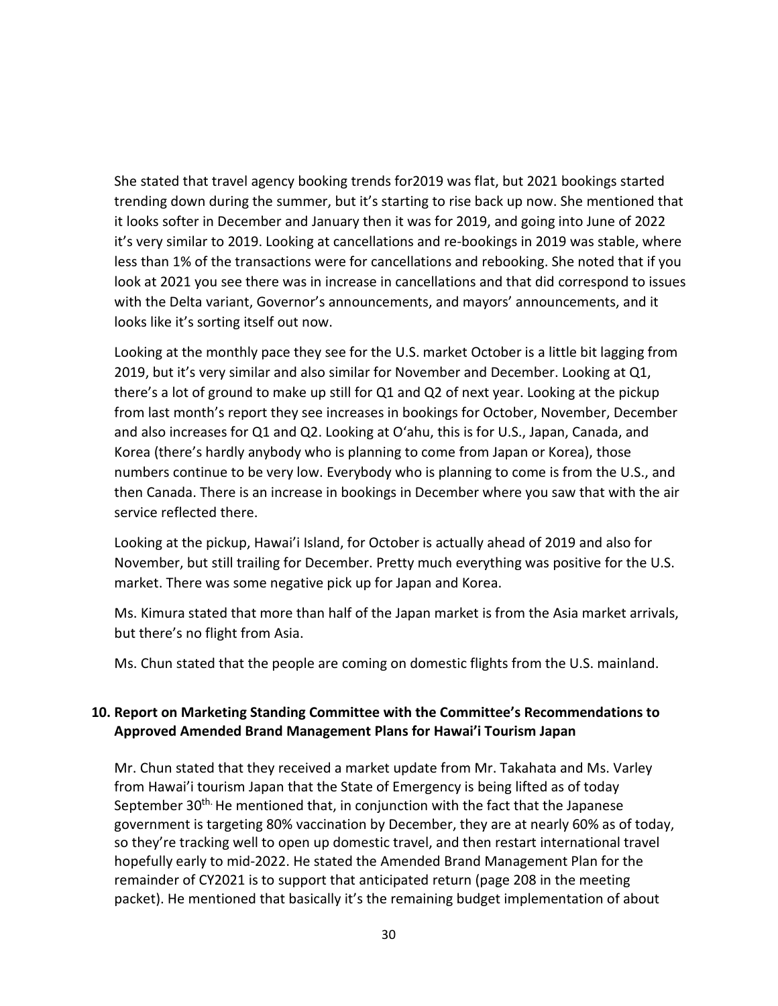She stated that travel agency booking trends for2019 was flat, but 2021 bookings started trending down during the summer, but it's starting to rise back up now. She mentioned that it looks softer in December and January then it was for 2019, and going into June of 2022 it's very similar to 2019. Looking at cancellations and re-bookings in 2019 was stable, where less than 1% of the transactions were for cancellations and rebooking. She noted that if you look at 2021 you see there was in increase in cancellations and that did correspond to issues with the Delta variant, Governor's announcements, and mayors' announcements, and it looks like it's sorting itself out now.

Looking at the monthly pace they see for the U.S. market October is a little bit lagging from 2019, but it's very similar and also similar for November and December. Looking at Q1, there's a lot of ground to make up still for Q1 and Q2 of next year. Looking at the pickup from last month's report they see increases in bookings for October, November, December and also increases for Q1 and Q2. Looking at O'ahu, this is for U.S., Japan, Canada, and Korea (there's hardly anybody who is planning to come from Japan or Korea), those numbers continue to be very low. Everybody who is planning to come is from the U.S., and then Canada. There is an increase in bookings in December where you saw that with the air service reflected there.

Looking at the pickup, Hawai'i Island, for October is actually ahead of 2019 and also for November, but still trailing for December. Pretty much everything was positive for the U.S. market. There was some negative pick up for Japan and Korea.

Ms. Kimura stated that more than half of the Japan market is from the Asia market arrivals, but there's no flight from Asia.

Ms. Chun stated that the people are coming on domestic flights from the U.S. mainland.

## **10. Report on Marketing Standing Committee with the Committee's Recommendations to Approved Amended Brand Management Plans for Hawai'i Tourism Japan**

Mr. Chun stated that they received a market update from Mr. Takahata and Ms. Varley from Hawai'i tourism Japan that the State of Emergency is being lifted as of today September 30<sup>th.</sup> He mentioned that, in conjunction with the fact that the Japanese government is targeting 80% vaccination by December, they are at nearly 60% as of today, so they're tracking well to open up domestic travel, and then restart international travel hopefully early to mid-2022. He stated the Amended Brand Management Plan for the remainder of CY2021 is to support that anticipated return (page 208 in the meeting packet). He mentioned that basically it's the remaining budget implementation of about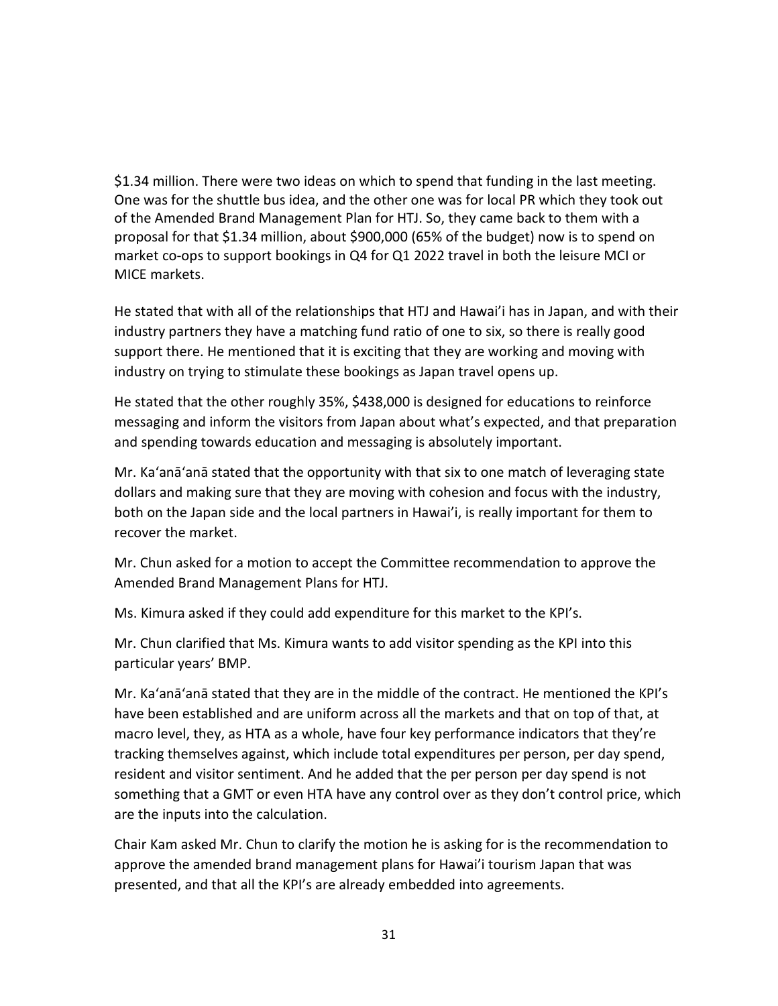\$1.34 million. There were two ideas on which to spend that funding in the last meeting. One was for the shuttle bus idea, and the other one was for local PR which they took out of the Amended Brand Management Plan for HTJ. So, they came back to them with a proposal for that \$1.34 million, about \$900,000 (65% of the budget) now is to spend on market co-ops to support bookings in Q4 for Q1 2022 travel in both the leisure MCI or MICE markets.

He stated that with all of the relationships that HTJ and Hawai'i has in Japan, and with their industry partners they have a matching fund ratio of one to six, so there is really good support there. He mentioned that it is exciting that they are working and moving with industry on trying to stimulate these bookings as Japan travel opens up.

He stated that the other roughly 35%, \$438,000 is designed for educations to reinforce messaging and inform the visitors from Japan about what's expected, and that preparation and spending towards education and messaging is absolutely important.

Mr. Ka'anā'anā stated that the opportunity with that six to one match of leveraging state dollars and making sure that they are moving with cohesion and focus with the industry, both on the Japan side and the local partners in Hawai'i, is really important for them to recover the market.

Mr. Chun asked for a motion to accept the Committee recommendation to approve the Amended Brand Management Plans for HTJ.

Ms. Kimura asked if they could add expenditure for this market to the KPI's.

Mr. Chun clarified that Ms. Kimura wants to add visitor spending as the KPI into this particular years' BMP.

Mr. Ka'anā'anā stated that they are in the middle of the contract. He mentioned the KPI's have been established and are uniform across all the markets and that on top of that, at macro level, they, as HTA as a whole, have four key performance indicators that they're tracking themselves against, which include total expenditures per person, per day spend, resident and visitor sentiment. And he added that the per person per day spend is not something that a GMT or even HTA have any control over as they don't control price, which are the inputs into the calculation.

Chair Kam asked Mr. Chun to clarify the motion he is asking for is the recommendation to approve the amended brand management plans for Hawai'i tourism Japan that was presented, and that all the KPI's are already embedded into agreements.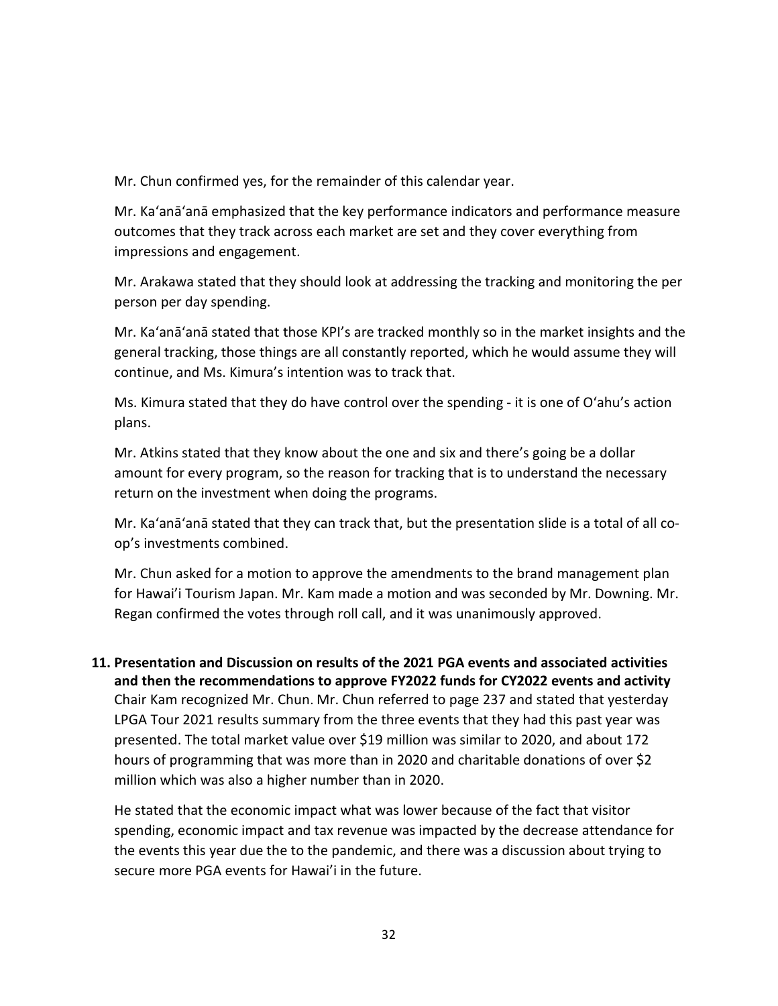Mr. Chun confirmed yes, for the remainder of this calendar year.

Mr. Ka'anā'anā emphasized that the key performance indicators and performance measure outcomes that they track across each market are set and they cover everything from impressions and engagement.

Mr. Arakawa stated that they should look at addressing the tracking and monitoring the per person per day spending.

Mr. Ka'anā'anā stated that those KPI's are tracked monthly so in the market insights and the general tracking, those things are all constantly reported, which he would assume they will continue, and Ms. Kimura's intention was to track that.

Ms. Kimura stated that they do have control over the spending - it is one of O'ahu's action plans.

Mr. Atkins stated that they know about the one and six and there's going be a dollar amount for every program, so the reason for tracking that is to understand the necessary return on the investment when doing the programs.

Mr. Ka'anā'anā stated that they can track that, but the presentation slide is a total of all coop's investments combined.

Mr. Chun asked for a motion to approve the amendments to the brand management plan for Hawai'i Tourism Japan. Mr. Kam made a motion and was seconded by Mr. Downing. Mr. Regan confirmed the votes through roll call, and it was unanimously approved.

**11. Presentation and Discussion on results of the 2021 PGA events and associated activities and then the recommendations to approve FY2022 funds for CY2022 events and activity** Chair Kam recognized Mr. Chun. Mr. Chun referred to page 237 and stated that yesterday LPGA Tour 2021 results summary from the three events that they had this past year was presented. The total market value over \$19 million was similar to 2020, and about 172 hours of programming that was more than in 2020 and charitable donations of over \$2 million which was also a higher number than in 2020.

He stated that the economic impact what was lower because of the fact that visitor spending, economic impact and tax revenue was impacted by the decrease attendance for the events this year due the to the pandemic, and there was a discussion about trying to secure more PGA events for Hawai'i in the future.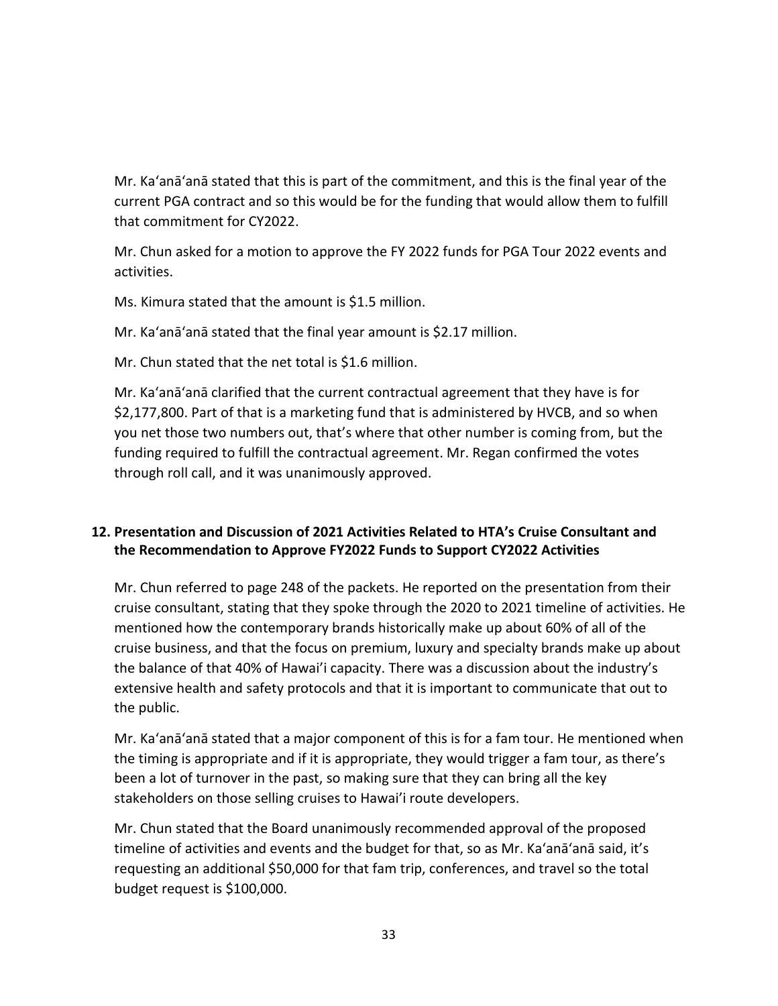Mr. Ka'anā'anā stated that this is part of the commitment, and this is the final year of the current PGA contract and so this would be for the funding that would allow them to fulfill that commitment for CY2022.

Mr. Chun asked for a motion to approve the FY 2022 funds for PGA Tour 2022 events and activities.

Ms. Kimura stated that the amount is \$1.5 million.

Mr. Ka'anā'anā stated that the final year amount is \$2.17 million.

Mr. Chun stated that the net total is \$1.6 million.

Mr. Ka'anā'anā clarified that the current contractual agreement that they have is for \$2,177,800. Part of that is a marketing fund that is administered by HVCB, and so when you net those two numbers out, that's where that other number is coming from, but the funding required to fulfill the contractual agreement. Mr. Regan confirmed the votes through roll call, and it was unanimously approved.

## **12. Presentation and Discussion of 2021 Activities Related to HTA's Cruise Consultant and the Recommendation to Approve FY2022 Funds to Support CY2022 Activities**

Mr. Chun referred to page 248 of the packets. He reported on the presentation from their cruise consultant, stating that they spoke through the 2020 to 2021 timeline of activities. He mentioned how the contemporary brands historically make up about 60% of all of the cruise business, and that the focus on premium, luxury and specialty brands make up about the balance of that 40% of Hawai'i capacity. There was a discussion about the industry's extensive health and safety protocols and that it is important to communicate that out to the public.

Mr. Ka'anā'anā stated that a major component of this is for a fam tour. He mentioned when the timing is appropriate and if it is appropriate, they would trigger a fam tour, as there's been a lot of turnover in the past, so making sure that they can bring all the key stakeholders on those selling cruises to Hawai'i route developers.

Mr. Chun stated that the Board unanimously recommended approval of the proposed timeline of activities and events and the budget for that, so as Mr. Ka'anā'anā said, it's requesting an additional \$50,000 for that fam trip, conferences, and travel so the total budget request is \$100,000.